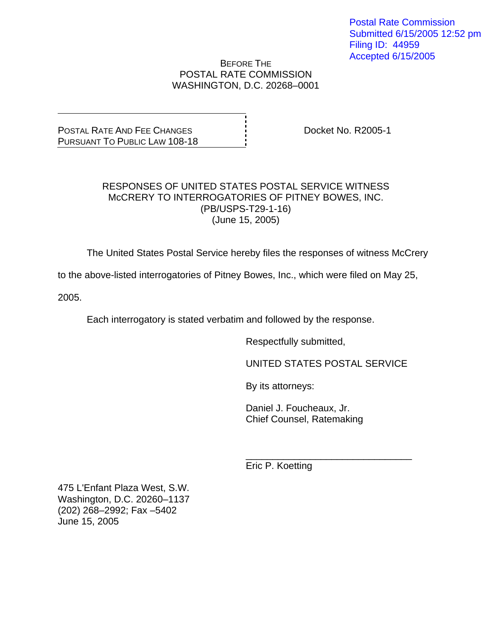Postal Rate Commission Submitted 6/15/2005 12:52 pm Filing ID: 44959 Accepted 6/15/2005

#### BEFORE THE POSTAL RATE COMMISSION WASHINGTON, D.C. 20268–0001

POSTAL RATE AND FEE CHANGES PURSUANT TO PUBLIC LAW 108-18 Docket No. R2005-1

#### RESPONSES OF UNITED STATES POSTAL SERVICE WITNESS McCRERY TO INTERROGATORIES OF PITNEY BOWES, INC. (PB/USPS-T29-1-16) (June 15, 2005)

The United States Postal Service hereby files the responses of witness McCrery

to the above-listed interrogatories of Pitney Bowes, Inc., which were filed on May 25,

2005.

Each interrogatory is stated verbatim and followed by the response.

 $\frac{1}{\sqrt{1-\frac{1}{2}+\frac{1}{2}+\frac{1}{2}+\frac{1}{2}+\frac{1}{2}+\frac{1}{2}+\frac{1}{2}+\frac{1}{2}+\frac{1}{2}+\frac{1}{2}+\frac{1}{2}+\frac{1}{2}+\frac{1}{2}+\frac{1}{2}+\frac{1}{2}+\frac{1}{2}+\frac{1}{2}+\frac{1}{2}+\frac{1}{2}+\frac{1}{2}+\frac{1}{2}+\frac{1}{2}+\frac{1}{2}+\frac{1}{2}+\frac{1}{2}+\frac{1}{2}+\frac{1}{2}+\frac{1}{2}+\frac{1}{2}+\frac{1}{2}+\$ 

Respectfully submitted,

UNITED STATES POSTAL SERVICE

By its attorneys:

 Daniel J. Foucheaux, Jr. Chief Counsel, Ratemaking

Eric P. Koetting

475 L'Enfant Plaza West, S.W. Washington, D.C. 20260–1137 (202) 268–2992; Fax –5402 June 15, 2005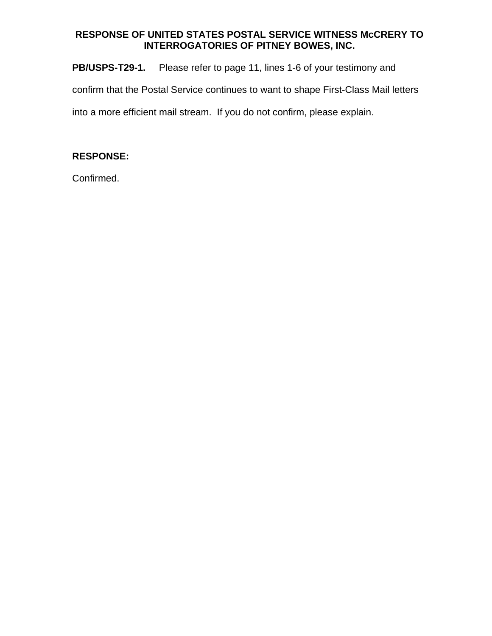**PB/USPS-T29-1.** Please refer to page 11, lines 1-6 of your testimony and confirm that the Postal Service continues to want to shape First-Class Mail letters into a more efficient mail stream. If you do not confirm, please explain.

# **RESPONSE:**

Confirmed.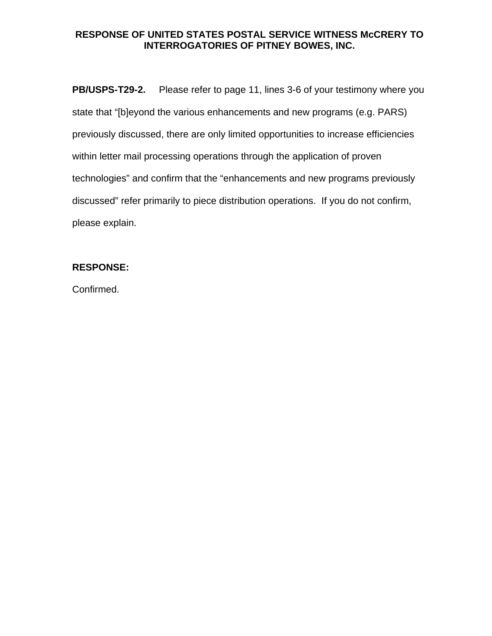**PB/USPS-T29-2.** Please refer to page 11, lines 3-6 of your testimony where you state that "[b]eyond the various enhancements and new programs (e.g. PARS) previously discussed, there are only limited opportunities to increase efficiencies within letter mail processing operations through the application of proven technologies" and confirm that the "enhancements and new programs previously discussed" refer primarily to piece distribution operations. If you do not confirm, please explain.

# **RESPONSE:**

Confirmed.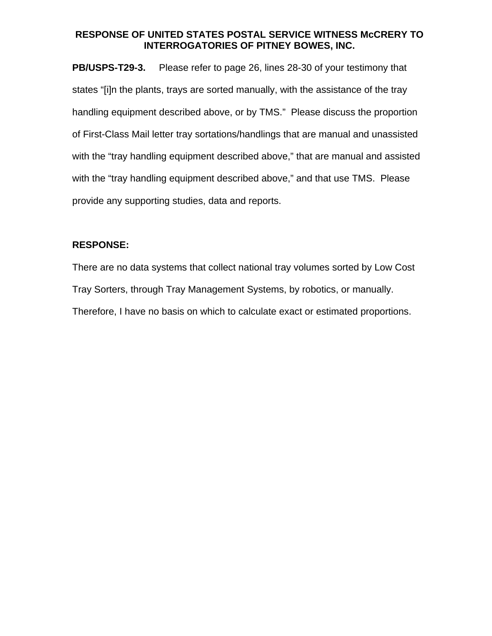**PB/USPS-T29-3.** Please refer to page 26, lines 28-30 of your testimony that states "[i]n the plants, trays are sorted manually, with the assistance of the tray handling equipment described above, or by TMS." Please discuss the proportion of First-Class Mail letter tray sortations/handlings that are manual and unassisted with the "tray handling equipment described above," that are manual and assisted with the "tray handling equipment described above," and that use TMS. Please provide any supporting studies, data and reports.

### **RESPONSE:**

There are no data systems that collect national tray volumes sorted by Low Cost Tray Sorters, through Tray Management Systems, by robotics, or manually. Therefore, I have no basis on which to calculate exact or estimated proportions.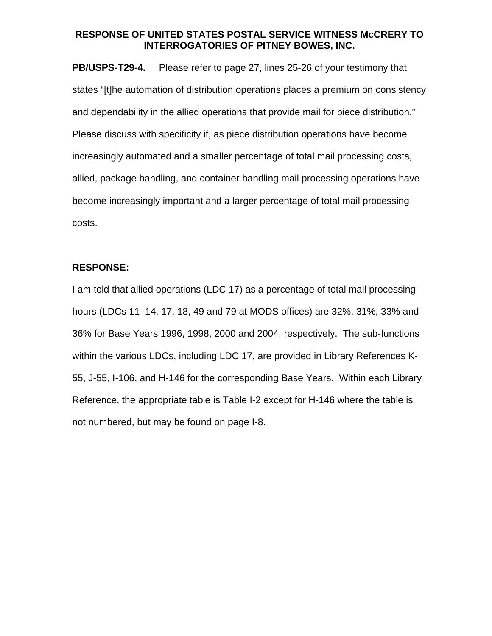**PB/USPS-T29-4.** Please refer to page 27, lines 25-26 of your testimony that states "[t]he automation of distribution operations places a premium on consistency and dependability in the allied operations that provide mail for piece distribution." Please discuss with specificity if, as piece distribution operations have become increasingly automated and a smaller percentage of total mail processing costs, allied, package handling, and container handling mail processing operations have become increasingly important and a larger percentage of total mail processing costs.

#### **RESPONSE:**

I am told that allied operations (LDC 17) as a percentage of total mail processing hours (LDCs 11–14, 17, 18, 49 and 79 at MODS offices) are 32%, 31%, 33% and 36% for Base Years 1996, 1998, 2000 and 2004, respectively. The sub-functions within the various LDCs, including LDC 17, are provided in Library References K-55, J-55, I-106, and H-146 for the corresponding Base Years. Within each Library Reference, the appropriate table is Table I-2 except for H-146 where the table is not numbered, but may be found on page I-8.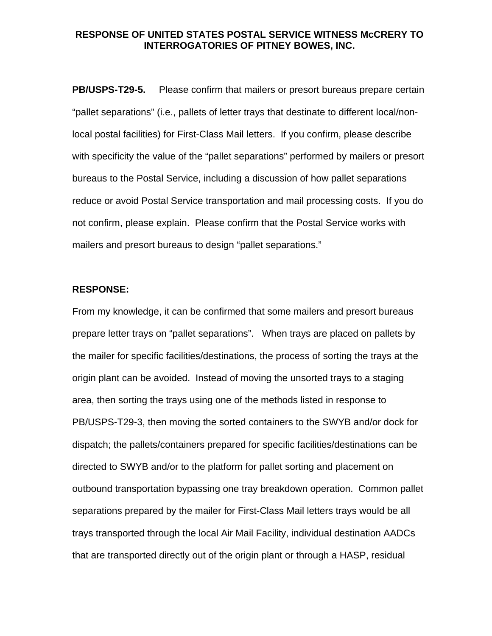**PB/USPS-T29-5.** Please confirm that mailers or presort bureaus prepare certain "pallet separations" (i.e., pallets of letter trays that destinate to different local/nonlocal postal facilities) for First-Class Mail letters. If you confirm, please describe with specificity the value of the "pallet separations" performed by mailers or presort bureaus to the Postal Service, including a discussion of how pallet separations reduce or avoid Postal Service transportation and mail processing costs. If you do not confirm, please explain. Please confirm that the Postal Service works with mailers and presort bureaus to design "pallet separations."

#### **RESPONSE:**

From my knowledge, it can be confirmed that some mailers and presort bureaus prepare letter trays on "pallet separations". When trays are placed on pallets by the mailer for specific facilities/destinations, the process of sorting the trays at the origin plant can be avoided. Instead of moving the unsorted trays to a staging area, then sorting the trays using one of the methods listed in response to PB/USPS-T29-3, then moving the sorted containers to the SWYB and/or dock for dispatch; the pallets/containers prepared for specific facilities/destinations can be directed to SWYB and/or to the platform for pallet sorting and placement on outbound transportation bypassing one tray breakdown operation. Common pallet separations prepared by the mailer for First-Class Mail letters trays would be all trays transported through the local Air Mail Facility, individual destination AADCs that are transported directly out of the origin plant or through a HASP, residual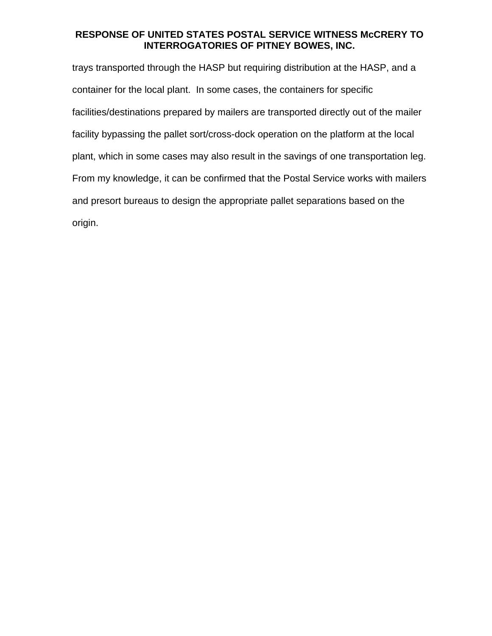trays transported through the HASP but requiring distribution at the HASP, and a container for the local plant. In some cases, the containers for specific facilities/destinations prepared by mailers are transported directly out of the mailer facility bypassing the pallet sort/cross-dock operation on the platform at the local plant, which in some cases may also result in the savings of one transportation leg. From my knowledge, it can be confirmed that the Postal Service works with mailers and presort bureaus to design the appropriate pallet separations based on the origin.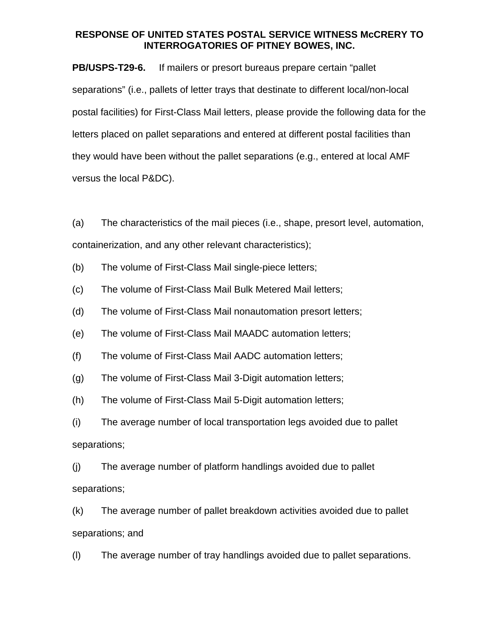**PB/USPS-T29-6.** If mailers or presort bureaus prepare certain "pallet separations" (i.e., pallets of letter trays that destinate to different local/non-local postal facilities) for First-Class Mail letters, please provide the following data for the letters placed on pallet separations and entered at different postal facilities than they would have been without the pallet separations (e.g., entered at local AMF versus the local P&DC).

(a) The characteristics of the mail pieces (i.e., shape, presort level, automation, containerization, and any other relevant characteristics);

- (b) The volume of First-Class Mail single-piece letters;
- (c) The volume of First-Class Mail Bulk Metered Mail letters;
- (d) The volume of First-Class Mail nonautomation presort letters;
- (e) The volume of First-Class Mail MAADC automation letters;
- (f) The volume of First-Class Mail AADC automation letters;
- (g) The volume of First-Class Mail 3-Digit automation letters;
- (h) The volume of First-Class Mail 5-Digit automation letters;

(i) The average number of local transportation legs avoided due to pallet separations;

(j) The average number of platform handlings avoided due to pallet separations;

(k) The average number of pallet breakdown activities avoided due to pallet separations; and

(l) The average number of tray handlings avoided due to pallet separations.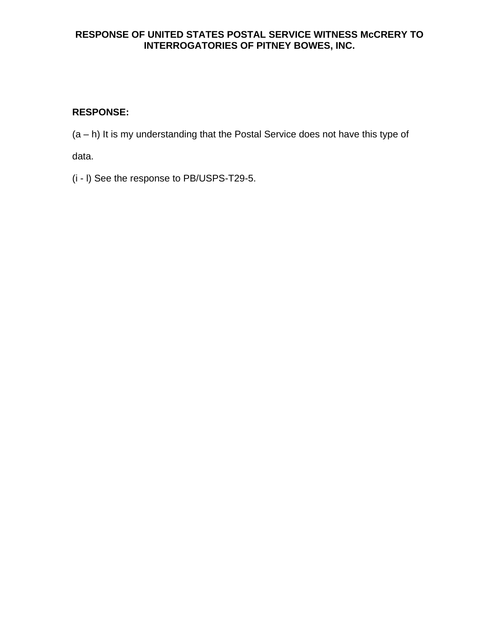# **RESPONSE:**

(a – h) It is my understanding that the Postal Service does not have this type of

data.

(i - l) See the response to PB/USPS-T29-5.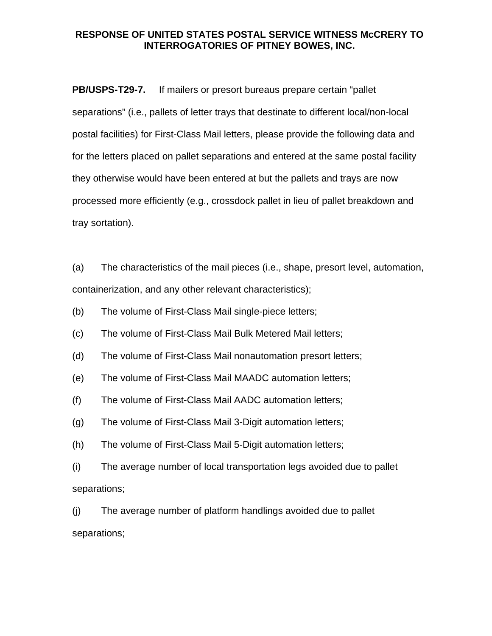**PB/USPS-T29-7.** If mailers or presort bureaus prepare certain "pallet separations" (i.e., pallets of letter trays that destinate to different local/non-local postal facilities) for First-Class Mail letters, please provide the following data and for the letters placed on pallet separations and entered at the same postal facility they otherwise would have been entered at but the pallets and trays are now processed more efficiently (e.g., crossdock pallet in lieu of pallet breakdown and tray sortation).

(a) The characteristics of the mail pieces (i.e., shape, presort level, automation, containerization, and any other relevant characteristics);

(b) The volume of First-Class Mail single-piece letters;

(c) The volume of First-Class Mail Bulk Metered Mail letters;

(d) The volume of First-Class Mail nonautomation presort letters;

(e) The volume of First-Class Mail MAADC automation letters;

(f) The volume of First-Class Mail AADC automation letters;

(g) The volume of First-Class Mail 3-Digit automation letters;

(h) The volume of First-Class Mail 5-Digit automation letters;

(i) The average number of local transportation legs avoided due to pallet separations;

(j) The average number of platform handlings avoided due to pallet separations;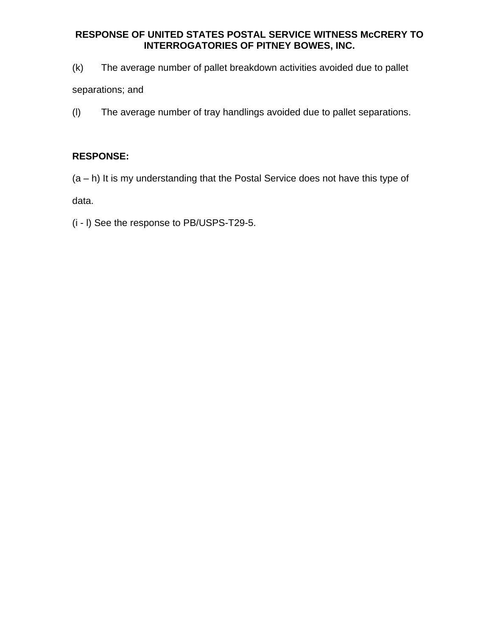(k) The average number of pallet breakdown activities avoided due to pallet

separations; and

(l) The average number of tray handlings avoided due to pallet separations.

# **RESPONSE:**

(a – h) It is my understanding that the Postal Service does not have this type of

data.

(i - l) See the response to PB/USPS-T29-5.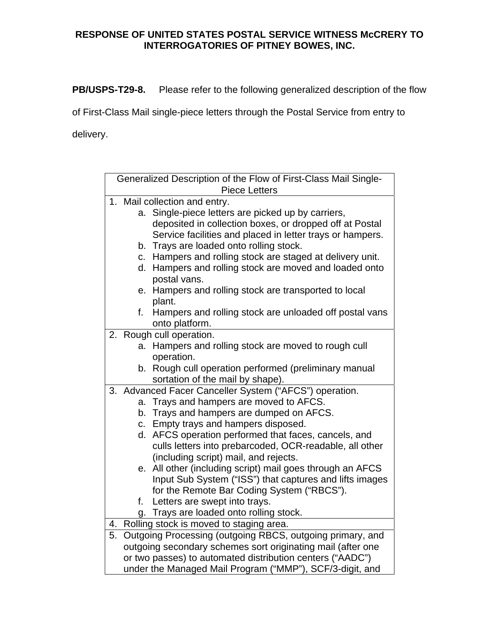**PB/USPS-T29-8.** Please refer to the following generalized description of the flow

of First-Class Mail single-piece letters through the Postal Service from entry to

delivery.

|    |                                                             | Generalized Description of the Flow of First-Class Mail Single-<br><b>Piece Letters</b>   |  |  |
|----|-------------------------------------------------------------|-------------------------------------------------------------------------------------------|--|--|
|    | 1. Mail collection and entry.                               |                                                                                           |  |  |
|    | a.                                                          | Single-piece letters are picked up by carriers,                                           |  |  |
|    |                                                             | deposited in collection boxes, or dropped off at Postal                                   |  |  |
|    |                                                             | Service facilities and placed in letter trays or hampers.                                 |  |  |
|    |                                                             | b. Trays are loaded onto rolling stock.                                                   |  |  |
|    | C.                                                          | Hampers and rolling stock are staged at delivery unit.                                    |  |  |
|    | d.                                                          | Hampers and rolling stock are moved and loaded onto                                       |  |  |
|    |                                                             | postal vans.                                                                              |  |  |
|    | е.                                                          | Hampers and rolling stock are transported to local                                        |  |  |
|    |                                                             | plant.                                                                                    |  |  |
|    | f.                                                          | Hampers and rolling stock are unloaded off postal vans                                    |  |  |
|    |                                                             | onto platform.                                                                            |  |  |
| 2. |                                                             | Rough cull operation.                                                                     |  |  |
|    | a.                                                          | Hampers and rolling stock are moved to rough cull                                         |  |  |
|    |                                                             | operation.                                                                                |  |  |
|    |                                                             | b. Rough cull operation performed (preliminary manual<br>sortation of the mail by shape). |  |  |
|    |                                                             | 3. Advanced Facer Canceller System ("AFCS") operation.                                    |  |  |
|    |                                                             | a. Trays and hampers are moved to AFCS.                                                   |  |  |
|    |                                                             | b. Trays and hampers are dumped on AFCS.                                                  |  |  |
|    |                                                             | c. Empty trays and hampers disposed.                                                      |  |  |
|    | d.                                                          | AFCS operation performed that faces, cancels, and                                         |  |  |
|    |                                                             | culls letters into prebarcoded, OCR-readable, all other                                   |  |  |
|    |                                                             | (including script) mail, and rejects.                                                     |  |  |
|    |                                                             | e. All other (including script) mail goes through an AFCS                                 |  |  |
|    |                                                             | Input Sub System ("ISS") that captures and lifts images                                   |  |  |
|    |                                                             | for the Remote Bar Coding System ("RBCS").                                                |  |  |
|    | f.                                                          | Letters are swept into trays.                                                             |  |  |
|    |                                                             | g. Trays are loaded onto rolling stock.                                                   |  |  |
| 4. | Rolling stock is moved to staging area.                     |                                                                                           |  |  |
| 5. | Outgoing Processing (outgoing RBCS, outgoing primary, and   |                                                                                           |  |  |
|    | outgoing secondary schemes sort originating mail (after one |                                                                                           |  |  |
|    | or two passes) to automated distribution centers ("AADC")   |                                                                                           |  |  |
|    | under the Managed Mail Program ("MMP"), SCF/3-digit, and    |                                                                                           |  |  |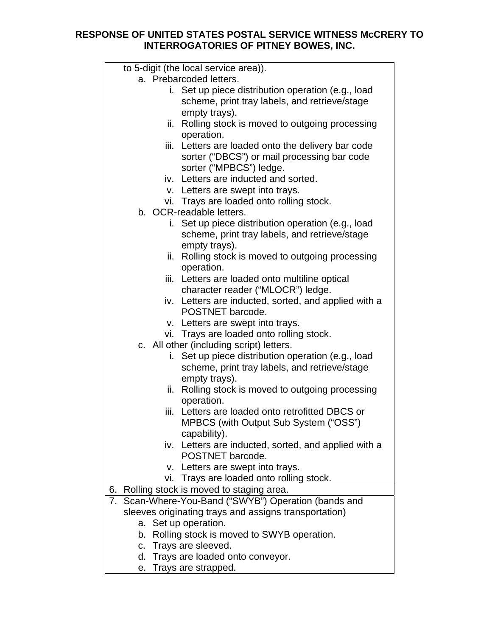|     | to 5-digit (the local service area)).                 |
|-----|-------------------------------------------------------|
|     | a. Prebarcoded letters.                               |
|     | i. Set up piece distribution operation (e.g., load    |
|     | scheme, print tray labels, and retrieve/stage         |
|     | empty trays).                                         |
|     | ii. Rolling stock is moved to outgoing processing     |
|     | operation.                                            |
|     | iii. Letters are loaded onto the delivery bar code    |
|     | sorter ("DBCS") or mail processing bar code           |
|     | sorter ("MPBCS") ledge.                               |
|     | iv. Letters are inducted and sorted.                  |
|     | v. Letters are swept into trays.                      |
|     | vi. Trays are loaded onto rolling stock.              |
|     | b. OCR-readable letters.                              |
|     | i. Set up piece distribution operation (e.g., load    |
|     | scheme, print tray labels, and retrieve/stage         |
|     |                                                       |
|     | empty trays).                                         |
| ii. | Rolling stock is moved to outgoing processing         |
|     | operation.                                            |
|     | iii. Letters are loaded onto multiline optical        |
|     | character reader ("MLOCR") ledge.                     |
|     | iv. Letters are inducted, sorted, and applied with a  |
|     | POSTNET barcode.                                      |
|     | v. Letters are swept into trays.                      |
|     | vi. Trays are loaded onto rolling stock.              |
|     | c. All other (including script) letters.              |
|     | i. Set up piece distribution operation (e.g., load    |
|     | scheme, print tray labels, and retrieve/stage         |
|     | empty trays).                                         |
| ii. | Rolling stock is moved to outgoing processing         |
|     | operation.                                            |
|     | iii. Letters are loaded onto retrofitted DBCS or      |
|     | MPBCS (with Output Sub System ("OSS")                 |
|     | capability).                                          |
| iv. | Letters are inducted, sorted, and applied with a      |
|     | POSTNET barcode.                                      |
|     | v. Letters are swept into trays.                      |
| vi. | Trays are loaded onto rolling stock.                  |
| 6.  | Rolling stock is moved to staging area.               |
| 7.  | Scan-Where-You-Band ("SWYB") Operation (bands and     |
|     | sleeves originating trays and assigns transportation) |
|     | a. Set up operation.                                  |
| b.  | Rolling stock is moved to SWYB operation.             |
|     | c. Trays are sleeved.                                 |
|     | d. Trays are loaded onto conveyor.                    |
|     |                                                       |

e. Trays are strapped.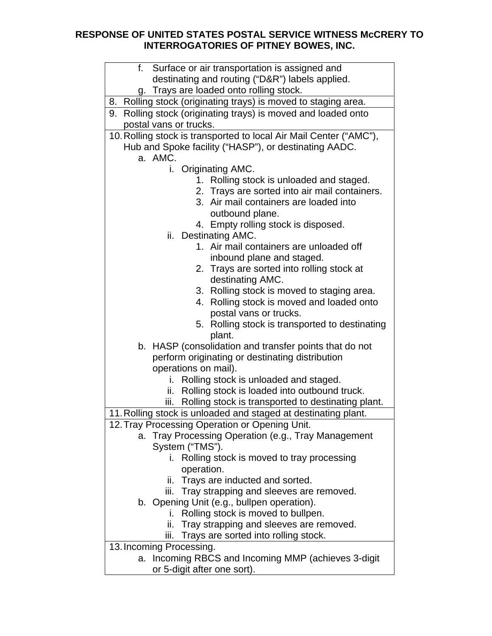| f. Surface or air transportation is assigned and                   |
|--------------------------------------------------------------------|
| destinating and routing ("D&R") labels applied.                    |
| g. Trays are loaded onto rolling stock.                            |
| 8. Rolling stock (originating trays) is moved to staging area.     |
| 9. Rolling stock (originating trays) is moved and loaded onto      |
| postal vans or trucks.                                             |
| 10. Rolling stock is transported to local Air Mail Center ("AMC"), |
| Hub and Spoke facility ("HASP"), or destinating AADC.              |
| a. AMC.                                                            |
| i. Originating AMC.                                                |
| 1. Rolling stock is unloaded and staged.                           |
| 2. Trays are sorted into air mail containers.                      |
| 3. Air mail containers are loaded into                             |
| outbound plane.                                                    |
| 4. Empty rolling stock is disposed.                                |
| ii. Destinating AMC.                                               |
| 1. Air mail containers are unloaded off                            |
| inbound plane and staged.                                          |
| 2. Trays are sorted into rolling stock at                          |
| destinating AMC.                                                   |
| 3. Rolling stock is moved to staging area.                         |
| 4. Rolling stock is moved and loaded onto                          |
| postal vans or trucks.                                             |
| 5. Rolling stock is transported to destinating                     |
| plant.                                                             |
| b. HASP (consolidation and transfer points that do not             |
| perform originating or destinating distribution                    |
| operations on mail).                                               |
| Rolling stock is unloaded and staged.<br>i.                        |
| ii. Rolling stock is loaded into outbound truck.                   |
| Rolling stock is transported to destinating plant.<br>iii.         |
| 11. Rolling stock is unloaded and staged at destinating plant.     |
| 12. Tray Processing Operation or Opening Unit.                     |
| Tray Processing Operation (e.g., Tray Management<br>а.             |
| System ("TMS").                                                    |
| i. Rolling stock is moved to tray processing                       |
| operation.                                                         |
| ii. Trays are inducted and sorted.                                 |
| iii. Tray strapping and sleeves are removed.                       |
| b. Opening Unit (e.g., bullpen operation).                         |
| Rolling stock is moved to bullpen.<br>i.                           |
| Tray strapping and sleeves are removed.<br>ii.                     |
| Trays are sorted into rolling stock.<br>iii.                       |
| 13. Incoming Processing.                                           |
| Incoming RBCS and Incoming MMP (achieves 3-digit<br>a.             |
| or 5-digit after one sort).                                        |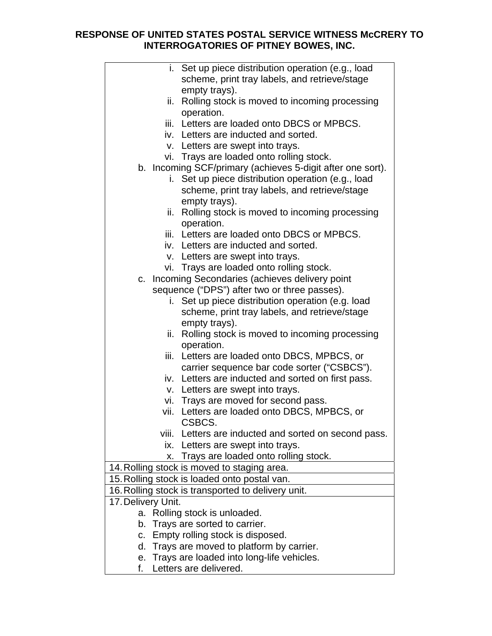|                    |       | i. Set up piece distribution operation (e.g., load<br>scheme, print tray labels, and retrieve/stage |
|--------------------|-------|-----------------------------------------------------------------------------------------------------|
|                    |       | empty trays).                                                                                       |
|                    |       | ii. Rolling stock is moved to incoming processing                                                   |
|                    |       | operation.                                                                                          |
|                    |       | iii. Letters are loaded onto DBCS or MPBCS.                                                         |
|                    |       | iv. Letters are inducted and sorted.                                                                |
|                    |       | v. Letters are swept into trays.                                                                    |
|                    |       | vi. Trays are loaded onto rolling stock.                                                            |
|                    |       | b. Incoming SCF/primary (achieves 5-digit after one sort).                                          |
|                    | i.    | Set up piece distribution operation (e.g., load                                                     |
|                    |       | scheme, print tray labels, and retrieve/stage                                                       |
|                    |       | empty trays).                                                                                       |
|                    |       | ii. Rolling stock is moved to incoming processing                                                   |
|                    |       | operation.                                                                                          |
|                    |       | iii. Letters are loaded onto DBCS or MPBCS.                                                         |
|                    |       | iv. Letters are inducted and sorted.                                                                |
|                    |       | v. Letters are swept into trays.                                                                    |
|                    |       | vi. Trays are loaded onto rolling stock.                                                            |
|                    |       | c. Incoming Secondaries (achieves delivery point                                                    |
|                    |       | sequence ("DPS") after two or three passes).                                                        |
|                    |       | i. Set up piece distribution operation (e.g. load                                                   |
|                    |       | scheme, print tray labels, and retrieve/stage                                                       |
|                    |       | empty trays).                                                                                       |
|                    | ii.   | Rolling stock is moved to incoming processing                                                       |
|                    |       | operation.                                                                                          |
|                    |       | iii. Letters are loaded onto DBCS, MPBCS, or                                                        |
|                    |       | carrier sequence bar code sorter ("CSBCS").                                                         |
|                    |       | iv. Letters are inducted and sorted on first pass.                                                  |
|                    |       | v. Letters are swept into trays.                                                                    |
|                    |       | vi. Trays are moved for second pass.                                                                |
|                    |       | vii. Letters are loaded onto DBCS, MPBCS, or                                                        |
|                    |       | CSBCS.                                                                                              |
|                    | viii. | Letters are inducted and sorted on second pass.                                                     |
|                    | ix.   | Letters are swept into trays.                                                                       |
|                    | Х.    | Trays are loaded onto rolling stock.                                                                |
|                    |       | 14. Rolling stock is moved to staging area.                                                         |
|                    |       | 15. Rolling stock is loaded onto postal van.                                                        |
|                    |       | 16. Rolling stock is transported to delivery unit.                                                  |
| 17. Delivery Unit. |       |                                                                                                     |
| a.                 |       | Rolling stock is unloaded.                                                                          |
|                    |       | b. Trays are sorted to carrier.                                                                     |
| C.                 |       | Empty rolling stock is disposed.                                                                    |
| d.                 |       | Trays are moved to platform by carrier.                                                             |
| е.                 |       | Trays are loaded into long-life vehicles.                                                           |

f. Letters are delivered.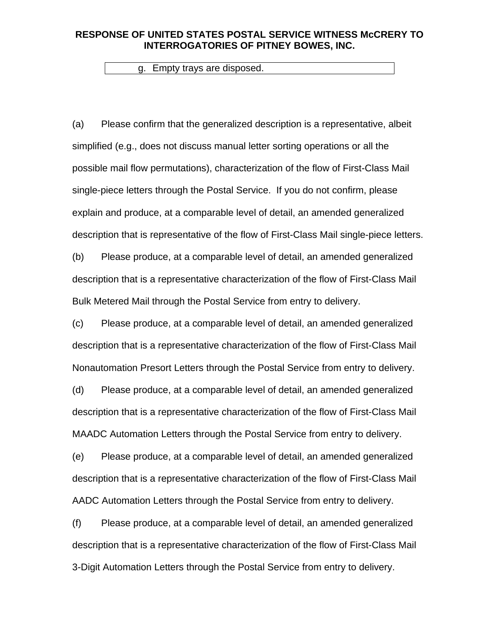g. Empty trays are disposed.

(a) Please confirm that the generalized description is a representative, albeit simplified (e.g., does not discuss manual letter sorting operations or all the possible mail flow permutations), characterization of the flow of First-Class Mail single-piece letters through the Postal Service. If you do not confirm, please explain and produce, at a comparable level of detail, an amended generalized description that is representative of the flow of First-Class Mail single-piece letters.

(b) Please produce, at a comparable level of detail, an amended generalized description that is a representative characterization of the flow of First-Class Mail Bulk Metered Mail through the Postal Service from entry to delivery.

(c) Please produce, at a comparable level of detail, an amended generalized description that is a representative characterization of the flow of First-Class Mail Nonautomation Presort Letters through the Postal Service from entry to delivery.

(d) Please produce, at a comparable level of detail, an amended generalized description that is a representative characterization of the flow of First-Class Mail MAADC Automation Letters through the Postal Service from entry to delivery.

(e) Please produce, at a comparable level of detail, an amended generalized description that is a representative characterization of the flow of First-Class Mail AADC Automation Letters through the Postal Service from entry to delivery.

(f) Please produce, at a comparable level of detail, an amended generalized description that is a representative characterization of the flow of First-Class Mail 3-Digit Automation Letters through the Postal Service from entry to delivery.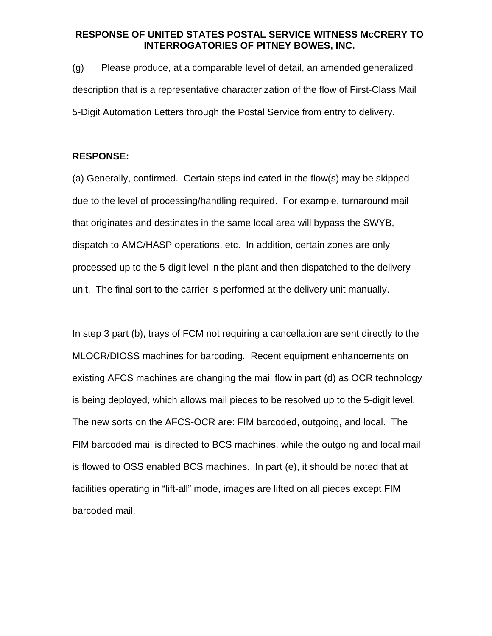(g) Please produce, at a comparable level of detail, an amended generalized description that is a representative characterization of the flow of First-Class Mail 5-Digit Automation Letters through the Postal Service from entry to delivery.

#### **RESPONSE:**

(a) Generally, confirmed. Certain steps indicated in the flow(s) may be skipped due to the level of processing/handling required. For example, turnaround mail that originates and destinates in the same local area will bypass the SWYB, dispatch to AMC/HASP operations, etc. In addition, certain zones are only processed up to the 5-digit level in the plant and then dispatched to the delivery unit. The final sort to the carrier is performed at the delivery unit manually.

In step 3 part (b), trays of FCM not requiring a cancellation are sent directly to the MLOCR/DIOSS machines for barcoding. Recent equipment enhancements on existing AFCS machines are changing the mail flow in part (d) as OCR technology is being deployed, which allows mail pieces to be resolved up to the 5-digit level. The new sorts on the AFCS-OCR are: FIM barcoded, outgoing, and local. The FIM barcoded mail is directed to BCS machines, while the outgoing and local mail is flowed to OSS enabled BCS machines. In part (e), it should be noted that at facilities operating in "lift-all" mode, images are lifted on all pieces except FIM barcoded mail.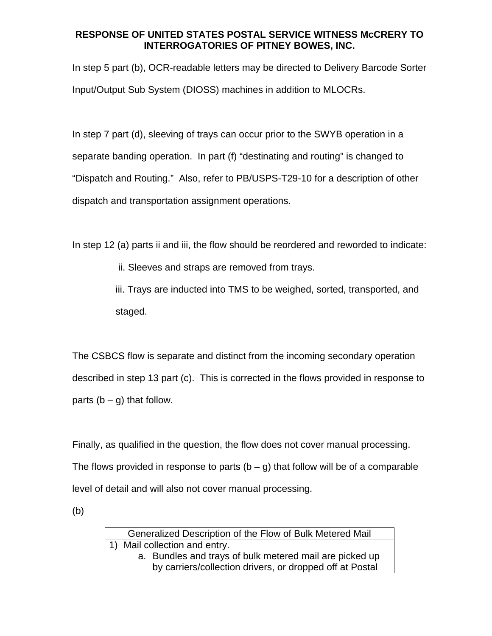In step 5 part (b), OCR-readable letters may be directed to Delivery Barcode Sorter Input/Output Sub System (DIOSS) machines in addition to MLOCRs.

In step 7 part (d), sleeving of trays can occur prior to the SWYB operation in a separate banding operation. In part (f) "destinating and routing" is changed to "Dispatch and Routing." Also, refer to PB/USPS-T29-10 for a description of other dispatch and transportation assignment operations.

In step 12 (a) parts ii and iii, the flow should be reordered and reworded to indicate:

ii. Sleeves and straps are removed from trays.

iii. Trays are inducted into TMS to be weighed, sorted, transported, and staged.

The CSBCS flow is separate and distinct from the incoming secondary operation described in step 13 part (c). This is corrected in the flows provided in response to parts  $(b - q)$  that follow.

Finally, as qualified in the question, the flow does not cover manual processing. The flows provided in response to parts  $(b - g)$  that follow will be of a comparable level of detail and will also not cover manual processing.

(b)

Generalized Description of the Flow of Bulk Metered Mail 1) Mail collection and entry. a. Bundles and trays of bulk metered mail are picked up by carriers/collection drivers, or dropped off at Postal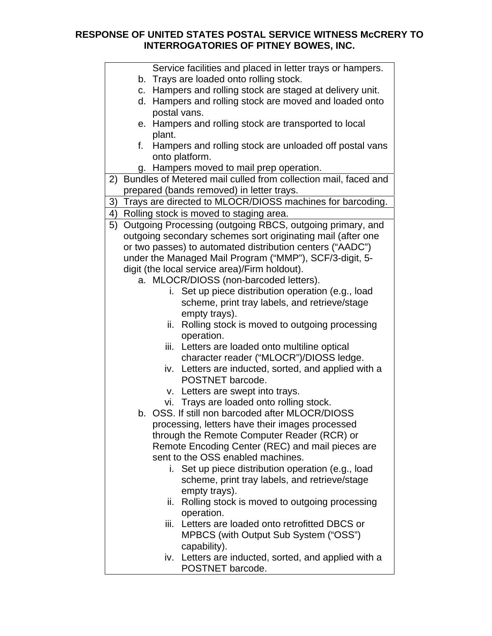| Service facilities and placed in letter trays or hampers.            |
|----------------------------------------------------------------------|
| b. Trays are loaded onto rolling stock.                              |
| c. Hampers and rolling stock are staged at delivery unit.            |
| d. Hampers and rolling stock are moved and loaded onto               |
| postal vans.                                                         |
| e. Hampers and rolling stock are transported to local                |
| plant.                                                               |
| Hampers and rolling stock are unloaded off postal vans<br>f.         |
| onto platform.                                                       |
| g. Hampers moved to mail prep operation.                             |
| Bundles of Metered mail culled from collection mail, faced and<br>2) |
| prepared (bands removed) in letter trays.                            |
| Trays are directed to MLOCR/DIOSS machines for barcoding.<br>3)      |
| Rolling stock is moved to staging area.<br>4)                        |
| Outgoing Processing (outgoing RBCS, outgoing primary, and<br>5)      |
| outgoing secondary schemes sort originating mail (after one          |
| or two passes) to automated distribution centers ("AADC")            |
| under the Managed Mail Program ("MMP"), SCF/3-digit, 5-              |
| digit (the local service area)/Firm holdout).                        |
| a. MLOCR/DIOSS (non-barcoded letters).                               |
| i. Set up piece distribution operation (e.g., load                   |
| scheme, print tray labels, and retrieve/stage                        |
| empty trays).                                                        |
| ii. Rolling stock is moved to outgoing processing                    |
| operation.                                                           |
| Letters are loaded onto multiline optical<br>iii.                    |
| character reader ("MLOCR")/DIOSS ledge.                              |
| iv. Letters are inducted, sorted, and applied with a                 |
| POSTNET barcode.                                                     |
| v. Letters are swept into trays.                                     |
| vi. Trays are loaded onto rolling stock.                             |
| b. OSS. If still non barcoded after MLOCR/DIOSS                      |
| processing, letters have their images processed                      |
| through the Remote Computer Reader (RCR) or                          |
| Remote Encoding Center (REC) and mail pieces are                     |
| sent to the OSS enabled machines.                                    |
| i. Set up piece distribution operation (e.g., load                   |
| scheme, print tray labels, and retrieve/stage                        |
| empty trays).                                                        |
| Rolling stock is moved to outgoing processing<br>ii.                 |
| operation.                                                           |
| Letters are loaded onto retrofitted DBCS or<br>iii.                  |
| MPBCS (with Output Sub System ("OSS")                                |
| capability).                                                         |
| iv. Letters are inducted, sorted, and applied with a                 |
| POSTNET barcode.                                                     |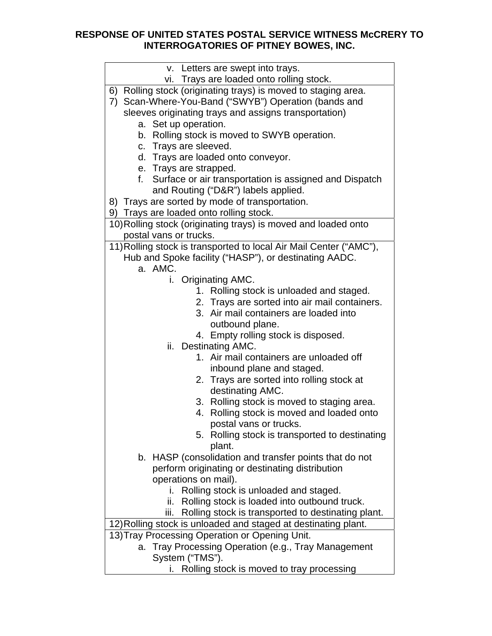| v. Letters are swept into trays.                                   |
|--------------------------------------------------------------------|
| vi. Trays are loaded onto rolling stock.                           |
| 6) Rolling stock (originating trays) is moved to staging area.     |
| Scan-Where-You-Band ("SWYB") Operation (bands and<br>7)            |
| sleeves originating trays and assigns transportation)              |
| a. Set up operation.                                               |
| b. Rolling stock is moved to SWYB operation.                       |
| c. Trays are sleeved.                                              |
| d. Trays are loaded onto conveyor.                                 |
| e. Trays are strapped.                                             |
| Surface or air transportation is assigned and Dispatch<br>f.       |
| and Routing ("D&R") labels applied.                                |
| 8) Trays are sorted by mode of transportation.                     |
| 9) Trays are loaded onto rolling stock.                            |
| 10) Rolling stock (originating trays) is moved and loaded onto     |
| postal vans or trucks.                                             |
| 11) Rolling stock is transported to local Air Mail Center ("AMC"), |
| Hub and Spoke facility ("HASP"), or destinating AADC.              |
| a. AMC.                                                            |
| i. Originating AMC.                                                |
| 1. Rolling stock is unloaded and staged.                           |
| 2. Trays are sorted into air mail containers.                      |
| 3. Air mail containers are loaded into                             |
| outbound plane.                                                    |
| 4. Empty rolling stock is disposed.                                |
| ii. Destinating AMC.                                               |
| 1. Air mail containers are unloaded off                            |
| inbound plane and staged.                                          |
| 2. Trays are sorted into rolling stock at                          |
| destinating AMC.                                                   |
| 3. Rolling stock is moved to staging area.                         |
| 4. Rolling stock is moved and loaded onto                          |
| postal vans or trucks.                                             |
| 5. Rolling stock is transported to destinating                     |
| plant.                                                             |
| b. HASP (consolidation and transfer points that do not             |
| perform originating or destinating distribution                    |
| operations on mail).                                               |
| Rolling stock is unloaded and staged.<br>i.                        |
| ii.<br>Rolling stock is loaded into outbound truck.                |
| Rolling stock is transported to destinating plant.<br>iii.         |
| 12) Rolling stock is unloaded and staged at destinating plant.     |
| 13) Tray Processing Operation or Opening Unit.                     |
| a. Tray Processing Operation (e.g., Tray Management                |
| System ("TMS").                                                    |
| Rolling stock is moved to tray processing                          |
|                                                                    |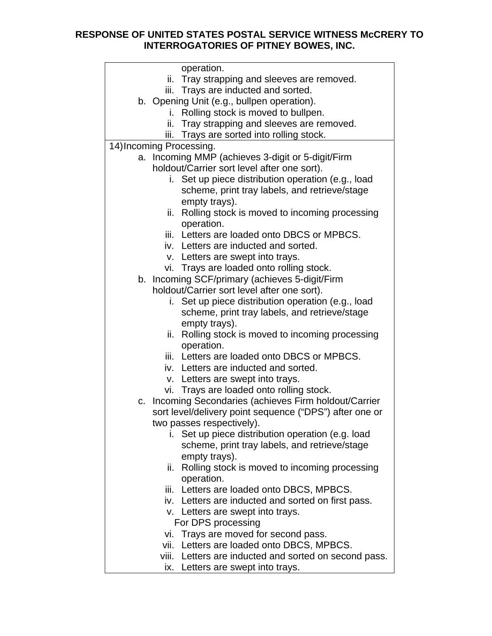|    | operation.                                                |
|----|-----------------------------------------------------------|
|    | ii. Tray strapping and sleeves are removed.               |
|    | iii. Trays are inducted and sorted.                       |
|    | b. Opening Unit (e.g., bullpen operation).                |
|    | Rolling stock is moved to bullpen.<br>i.                  |
|    | Tray strapping and sleeves are removed.<br>ii.            |
|    | iii. Trays are sorted into rolling stock.                 |
|    | 14) Incoming Processing.                                  |
| a. | Incoming MMP (achieves 3-digit or 5-digit/Firm            |
|    | holdout/Carrier sort level after one sort).               |
|    | Set up piece distribution operation (e.g., load           |
|    | scheme, print tray labels, and retrieve/stage             |
|    | empty trays).                                             |
|    | ii. Rolling stock is moved to incoming processing         |
|    | operation.                                                |
|    | iii. Letters are loaded onto DBCS or MPBCS.               |
|    | iv. Letters are inducted and sorted.                      |
|    | v. Letters are swept into trays.                          |
|    | vi. Trays are loaded onto rolling stock.                  |
|    | b. Incoming SCF/primary (achieves 5-digit/Firm            |
|    | holdout/Carrier sort level after one sort).               |
|    | i. Set up piece distribution operation (e.g., load        |
|    | scheme, print tray labels, and retrieve/stage             |
|    |                                                           |
|    | empty trays).                                             |
|    | Rolling stock is moved to incoming processing<br>ii.      |
|    | operation.<br>iii. Letters are loaded onto DBCS or MPBCS. |
|    |                                                           |
|    | iv. Letters are inducted and sorted.                      |
|    | v. Letters are swept into trays.                          |
|    | vi. Trays are loaded onto rolling stock.                  |
| C. | Incoming Secondaries (achieves Firm holdout/Carrier       |
|    | sort level/delivery point sequence ("DPS") after one or   |
|    | two passes respectively).                                 |
|    | Set up piece distribution operation (e.g. load            |
|    | scheme, print tray labels, and retrieve/stage             |
|    | empty trays).                                             |
|    | ii. Rolling stock is moved to incoming processing         |
|    | operation.                                                |
|    | iii. Letters are loaded onto DBCS, MPBCS.                 |
|    | iv. Letters are inducted and sorted on first pass.        |
|    | v. Letters are swept into trays.                          |
|    | For DPS processing                                        |
|    | vi. Trays are moved for second pass.                      |
|    | vii. Letters are loaded onto DBCS, MPBCS.                 |
|    | viii. Letters are inducted and sorted on second pass.     |
|    | ix. Letters are swept into trays.                         |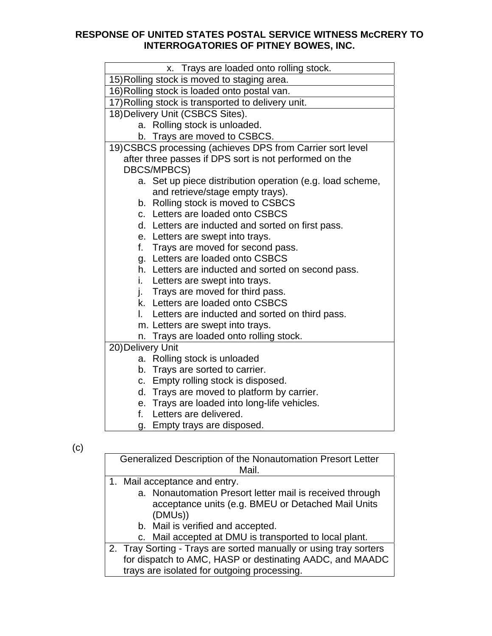| x. Trays are loaded onto rolling stock.                    |  |  |  |
|------------------------------------------------------------|--|--|--|
| 15) Rolling stock is moved to staging area.                |  |  |  |
| 16) Rolling stock is loaded onto postal van.               |  |  |  |
| 17) Rolling stock is transported to delivery unit.         |  |  |  |
| 18) Delivery Unit (CSBCS Sites).                           |  |  |  |
| a. Rolling stock is unloaded.                              |  |  |  |
| b. Trays are moved to CSBCS.                               |  |  |  |
| 19) CSBCS processing (achieves DPS from Carrier sort level |  |  |  |
| after three passes if DPS sort is not performed on the     |  |  |  |
| <b>DBCS/MPBCS)</b>                                         |  |  |  |
| a. Set up piece distribution operation (e.g. load scheme,  |  |  |  |
| and retrieve/stage empty trays).                           |  |  |  |
| Rolling stock is moved to CSBCS<br>b.                      |  |  |  |
| c. Letters are loaded onto CSBCS                           |  |  |  |
| d. Letters are inducted and sorted on first pass.          |  |  |  |
| e. Letters are swept into trays.                           |  |  |  |
| Trays are moved for second pass.<br>f.                     |  |  |  |
| g. Letters are loaded onto CSBCS                           |  |  |  |
| h. Letters are inducted and sorted on second pass.         |  |  |  |
| Letters are swept into trays.<br>i.                        |  |  |  |
| Trays are moved for third pass.<br>j.                      |  |  |  |
| k. Letters are loaded onto CSBCS                           |  |  |  |
| Letters are inducted and sorted on third pass.<br>L.       |  |  |  |
| m. Letters are swept into trays.                           |  |  |  |
| Trays are loaded onto rolling stock.<br>n.                 |  |  |  |
| 20) Delivery Unit                                          |  |  |  |
| a. Rolling stock is unloaded                               |  |  |  |
| b. Trays are sorted to carrier.                            |  |  |  |
| c. Empty rolling stock is disposed.                        |  |  |  |
| Trays are moved to platform by carrier.<br>d.              |  |  |  |
| e. Trays are loaded into long-life vehicles.               |  |  |  |
| Letters are delivered.<br>f.                               |  |  |  |
| Empty trays are disposed.<br>g.                            |  |  |  |

(c)

|  | Generalized Description of the Nonautomation Presort Letter<br>Mail. |
|--|----------------------------------------------------------------------|
|  |                                                                      |
|  | 1. Mail acceptance and entry.                                        |
|  | a. Nonautomation Presort letter mail is received through             |
|  |                                                                      |
|  | acceptance units (e.g. BMEU or Detached Mail Units                   |
|  | (DMUs))                                                              |
|  |                                                                      |
|  | b. Mail is verified and accepted.                                    |
|  | c. Mail accepted at DMU is transported to local plant.               |
|  |                                                                      |
|  | 2. Tray Sorting - Trays are sorted manually or using tray sorters    |
|  | for dispatch to AMC, HASP or destinating AADC, and MAADC             |
|  |                                                                      |
|  | trays are isolated for outgoing processing.                          |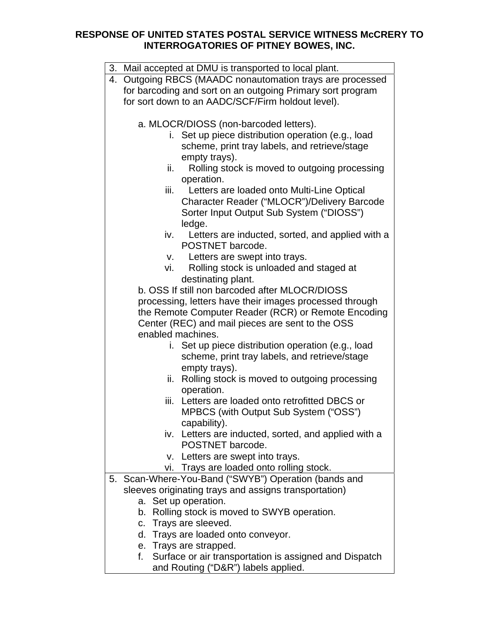|                                    |                                                              | 3. Mail accepted at DMU is transported to local plant.  |  |  |
|------------------------------------|--------------------------------------------------------------|---------------------------------------------------------|--|--|
|                                    | Outgoing RBCS (MAADC nonautomation trays are processed<br>4. |                                                         |  |  |
|                                    | for barcoding and sort on an outgoing Primary sort program   |                                                         |  |  |
|                                    | for sort down to an AADC/SCF/Firm holdout level).            |                                                         |  |  |
|                                    |                                                              |                                                         |  |  |
|                                    | a. MLOCR/DIOSS (non-barcoded letters).                       |                                                         |  |  |
|                                    |                                                              | i. Set up piece distribution operation (e.g., load      |  |  |
|                                    |                                                              | scheme, print tray labels, and retrieve/stage           |  |  |
|                                    |                                                              | empty trays).                                           |  |  |
|                                    | ii.                                                          | Rolling stock is moved to outgoing processing           |  |  |
|                                    |                                                              | operation.                                              |  |  |
|                                    | iii.                                                         | Letters are loaded onto Multi-Line Optical              |  |  |
|                                    |                                                              | Character Reader ("MLOCR")/Delivery Barcode             |  |  |
|                                    |                                                              | Sorter Input Output Sub System ("DIOSS")                |  |  |
|                                    |                                                              | ledge.                                                  |  |  |
|                                    | iv.                                                          | Letters are inducted, sorted, and applied with a        |  |  |
|                                    |                                                              | POSTNET barcode.                                        |  |  |
|                                    | V.                                                           | Letters are swept into trays.                           |  |  |
|                                    | vi.                                                          | Rolling stock is unloaded and staged at                 |  |  |
|                                    |                                                              | destinating plant.                                      |  |  |
|                                    |                                                              | b. OSS If still non barcoded after MLOCR/DIOSS          |  |  |
|                                    |                                                              | processing, letters have their images processed through |  |  |
|                                    |                                                              | the Remote Computer Reader (RCR) or Remote Encoding     |  |  |
|                                    |                                                              | Center (REC) and mail pieces are sent to the OSS        |  |  |
|                                    |                                                              | enabled machines.                                       |  |  |
|                                    |                                                              | i. Set up piece distribution operation (e.g., load      |  |  |
|                                    |                                                              | scheme, print tray labels, and retrieve/stage           |  |  |
|                                    |                                                              | empty trays).                                           |  |  |
|                                    | ii.                                                          | Rolling stock is moved to outgoing processing           |  |  |
|                                    |                                                              | operation.                                              |  |  |
|                                    |                                                              | iii. Letters are loaded onto retrofitted DBCS or        |  |  |
|                                    |                                                              | MPBCS (with Output Sub System ("OSS")                   |  |  |
|                                    |                                                              | capability).                                            |  |  |
|                                    |                                                              | iv. Letters are inducted, sorted, and applied with a    |  |  |
|                                    |                                                              | POSTNET barcode.                                        |  |  |
|                                    |                                                              | v. Letters are swept into trays.                        |  |  |
|                                    |                                                              | vi. Trays are loaded onto rolling stock.                |  |  |
|                                    |                                                              | 5. Scan-Where-You-Band ("SWYB") Operation (bands and    |  |  |
|                                    |                                                              | sleeves originating trays and assigns transportation)   |  |  |
|                                    |                                                              | a. Set up operation.                                    |  |  |
|                                    |                                                              | b. Rolling stock is moved to SWYB operation.            |  |  |
|                                    |                                                              | c. Trays are sleeved.                                   |  |  |
| d. Trays are loaded onto conveyor. |                                                              |                                                         |  |  |
|                                    |                                                              | e. Trays are strapped.                                  |  |  |
|                                    | f.                                                           | Surface or air transportation is assigned and Dispatch  |  |  |

and Routing ("D&R") labels applied.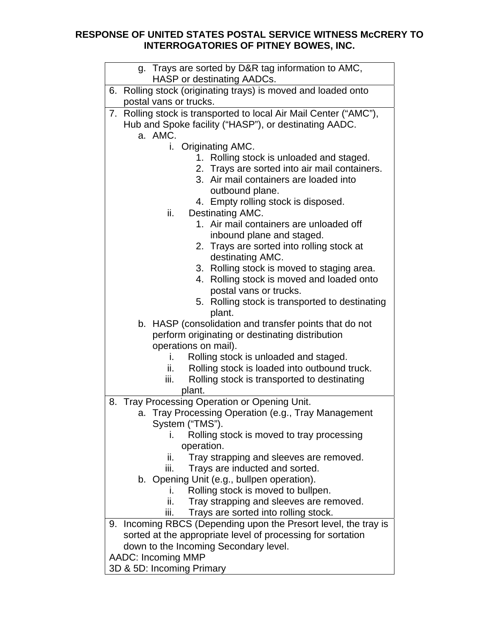| g. Trays are sorted by D&R tag information to AMC,                |
|-------------------------------------------------------------------|
| HASP or destinating AADCs.                                        |
| 6. Rolling stock (originating trays) is moved and loaded onto     |
| postal vans or trucks.                                            |
| 7. Rolling stock is transported to local Air Mail Center ("AMC"), |
|                                                                   |
| Hub and Spoke facility ("HASP"), or destinating AADC.<br>a. AMC.  |
| i. Originating AMC.                                               |
| 1. Rolling stock is unloaded and staged.                          |
| 2. Trays are sorted into air mail containers.                     |
| 3. Air mail containers are loaded into                            |
| outbound plane.                                                   |
| 4. Empty rolling stock is disposed.                               |
| ii.<br>Destinating AMC.                                           |
| 1. Air mail containers are unloaded off                           |
| inbound plane and staged.                                         |
| 2. Trays are sorted into rolling stock at                         |
| destinating AMC.                                                  |
| 3. Rolling stock is moved to staging area.                        |
| Rolling stock is moved and loaded onto<br>4.                      |
| postal vans or trucks.                                            |
| 5. Rolling stock is transported to destinating                    |
| plant.                                                            |
| b. HASP (consolidation and transfer points that do not            |
| perform originating or destinating distribution                   |
| operations on mail).                                              |
| Rolling stock is unloaded and staged.<br>i.                       |
| Rolling stock is loaded into outbound truck.<br>ii.               |
| iii.<br>Rolling stock is transported to destinating               |
| plant.                                                            |
| Tray Processing Operation or Opening Unit.<br>8.                  |
| a. Tray Processing Operation (e.g., Tray Management               |
| System ("TMS").                                                   |
| Rolling stock is moved to tray processing<br>L.                   |
| operation.                                                        |
| Tray strapping and sleeves are removed.<br>ii.                    |
| iii.<br>Trays are inducted and sorted.                            |
| b. Opening Unit (e.g., bullpen operation).                        |
| Rolling stock is moved to bullpen.<br>i.                          |
| ii.<br>Tray strapping and sleeves are removed.                    |
| Trays are sorted into rolling stock.<br>iii.                      |
| 9. Incoming RBCS (Depending upon the Presort level, the tray is   |
| sorted at the appropriate level of processing for sortation       |
| down to the Incoming Secondary level.                             |
| <b>AADC: Incoming MMP</b>                                         |
| 3D & 5D: Incoming Primary                                         |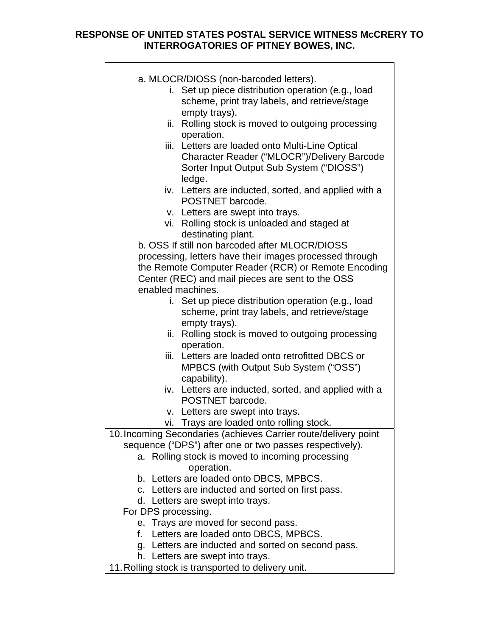| a. MLOCR/DIOSS (non-barcoded letters).                          |  |
|-----------------------------------------------------------------|--|
| Set up piece distribution operation (e.g., load<br>i.           |  |
| scheme, print tray labels, and retrieve/stage                   |  |
| empty trays).                                                   |  |
| ii. Rolling stock is moved to outgoing processing               |  |
| operation.                                                      |  |
| iii. Letters are loaded onto Multi-Line Optical                 |  |
| Character Reader ("MLOCR")/Delivery Barcode                     |  |
| Sorter Input Output Sub System ("DIOSS")                        |  |
| ledge.                                                          |  |
| iv. Letters are inducted, sorted, and applied with a            |  |
| POSTNET barcode.                                                |  |
| v. Letters are swept into trays.                                |  |
| Rolling stock is unloaded and staged at<br>vi.                  |  |
| destinating plant.                                              |  |
| b. OSS If still non barcoded after MLOCR/DIOSS                  |  |
| processing, letters have their images processed through         |  |
| the Remote Computer Reader (RCR) or Remote Encoding             |  |
| Center (REC) and mail pieces are sent to the OSS                |  |
| enabled machines.                                               |  |
| Set up piece distribution operation (e.g., load<br>i.           |  |
| scheme, print tray labels, and retrieve/stage                   |  |
| empty trays).                                                   |  |
| ii. Rolling stock is moved to outgoing processing               |  |
| operation.                                                      |  |
| iii. Letters are loaded onto retrofitted DBCS or                |  |
| MPBCS (with Output Sub System ("OSS")                           |  |
| capability).                                                    |  |
| iv. Letters are inducted, sorted, and applied with a            |  |
| POSTNET barcode.                                                |  |
| v. Letters are swept into trays.                                |  |
| vi. Trays are loaded onto rolling stock.                        |  |
| 10. Incoming Secondaries (achieves Carrier route/delivery point |  |
| sequence ("DPS") after one or two passes respectively).         |  |
| a. Rolling stock is moved to incoming processing                |  |
| operation.                                                      |  |
| b. Letters are loaded onto DBCS, MPBCS.                         |  |
| c. Letters are inducted and sorted on first pass.               |  |
| d. Letters are swept into trays.                                |  |
| For DPS processing.                                             |  |
| e. Trays are moved for second pass.                             |  |
| f. Letters are loaded onto DBCS, MPBCS.                         |  |
| g. Letters are inducted and sorted on second pass.              |  |
| h. Letters are swept into trays.                                |  |
| 11. Rolling stock is transported to delivery unit.              |  |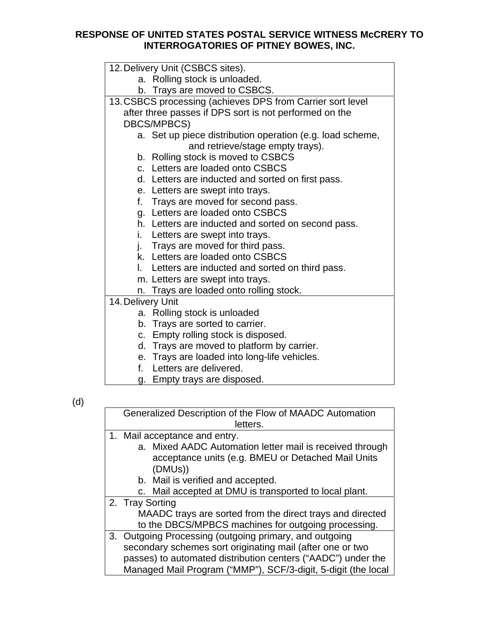|                   | 12. Delivery Unit (CSBCS sites).                           |
|-------------------|------------------------------------------------------------|
|                   | a. Rolling stock is unloaded.                              |
|                   | b. Trays are moved to CSBCS.                               |
|                   | 13. CSBCS processing (achieves DPS from Carrier sort level |
|                   | after three passes if DPS sort is not performed on the     |
|                   | DBCS/MPBCS)                                                |
|                   | a. Set up piece distribution operation (e.g. load scheme,  |
|                   | and retrieve/stage empty trays).                           |
| b.                | Rolling stock is moved to CSBCS                            |
| $C_{\rm{eff}}$    | Letters are loaded onto CSBCS                              |
|                   | d. Letters are inducted and sorted on first pass.          |
|                   | e. Letters are swept into trays.                           |
| f.                | Trays are moved for second pass.                           |
|                   | g. Letters are loaded onto CSBCS                           |
|                   | h. Letters are inducted and sorted on second pass.         |
| i.                | Letters are swept into trays.                              |
|                   | j. Trays are moved for third pass.                         |
|                   | k. Letters are loaded onto CSBCS                           |
|                   | I. Letters are inducted and sorted on third pass.          |
|                   | m. Letters are swept into trays.                           |
|                   | n. Trays are loaded onto rolling stock.                    |
| 14. Delivery Unit |                                                            |
|                   | a. Rolling stock is unloaded                               |
|                   | b. Trays are sorted to carrier.                            |
|                   | c. Empty rolling stock is disposed.                        |
|                   | d. Trays are moved to platform by carrier.                 |
|                   | e. Trays are loaded into long-life vehicles.               |
|                   | الموسور بالملم وسور وسوعاء وال                             |

- f. Letters are delivered.
- g. Empty trays are disposed.

(d)

| Generalized Description of the Flow of MAADC Automation       |
|---------------------------------------------------------------|
| letters.                                                      |
| 1. Mail acceptance and entry.                                 |
| a. Mixed AADC Automation letter mail is received through      |
| acceptance units (e.g. BMEU or Detached Mail Units            |
| (DMUs))                                                       |
| b. Mail is verified and accepted.                             |
| c. Mail accepted at DMU is transported to local plant.        |
| 2. Tray Sorting                                               |
| MAADC trays are sorted from the direct trays and directed     |
| to the DBCS/MPBCS machines for outgoing processing.           |
| 3. Outgoing Processing (outgoing primary, and outgoing        |
| secondary schemes sort originating mail (after one or two     |
| passes) to automated distribution centers ("AADC") under the  |
| Managed Mail Program ("MMP"), SCF/3-digit, 5-digit (the local |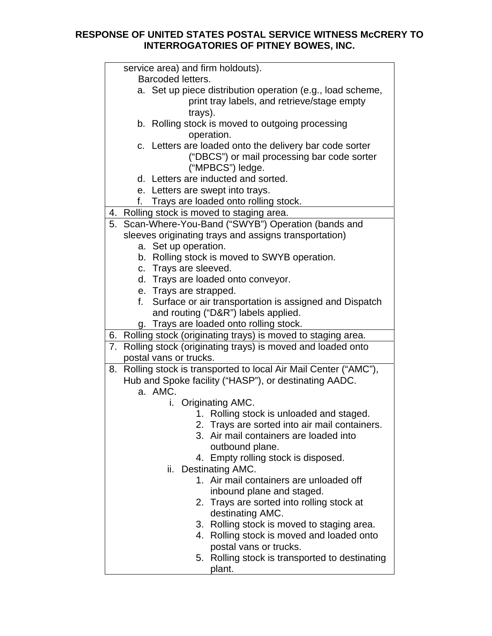|    | service area) and firm holdouts).                                 |  |
|----|-------------------------------------------------------------------|--|
|    | Barcoded letters.                                                 |  |
|    | a. Set up piece distribution operation (e.g., load scheme,        |  |
|    | print tray labels, and retrieve/stage empty                       |  |
|    | trays).                                                           |  |
|    | b. Rolling stock is moved to outgoing processing                  |  |
|    | operation.                                                        |  |
|    | c. Letters are loaded onto the delivery bar code sorter           |  |
|    | ("DBCS") or mail processing bar code sorter                       |  |
|    | ("MPBCS") ledge.                                                  |  |
|    | d. Letters are inducted and sorted.                               |  |
|    | e. Letters are swept into trays.                                  |  |
|    | f. Trays are loaded onto rolling stock.                           |  |
|    | 4. Rolling stock is moved to staging area.                        |  |
| 5. | Scan-Where-You-Band ("SWYB") Operation (bands and                 |  |
|    | sleeves originating trays and assigns transportation)             |  |
|    | a. Set up operation.                                              |  |
|    | b. Rolling stock is moved to SWYB operation.                      |  |
|    | c. Trays are sleeved.                                             |  |
|    | d. Trays are loaded onto conveyor.                                |  |
|    | e. Trays are strapped.                                            |  |
|    | f. Surface or air transportation is assigned and Dispatch         |  |
|    | and routing ("D&R") labels applied.                               |  |
|    | g. Trays are loaded onto rolling stock.                           |  |
|    | 6. Rolling stock (originating trays) is moved to staging area.    |  |
|    | 7. Rolling stock (originating trays) is moved and loaded onto     |  |
|    | postal vans or trucks.                                            |  |
|    | 8. Rolling stock is transported to local Air Mail Center ("AMC"), |  |
|    | Hub and Spoke facility ("HASP"), or destinating AADC.             |  |
|    | a. AMC.                                                           |  |
|    | i. Originating AMC.                                               |  |
|    | 1. Rolling stock is unloaded and staged.                          |  |
|    | 2. Trays are sorted into air mail containers.                     |  |
|    | Air mail containers are loaded into<br>3.                         |  |
|    | outbound plane.                                                   |  |
|    | 4. Empty rolling stock is disposed.                               |  |
|    | ii. Destinating AMC.                                              |  |
|    | 1. Air mail containers are unloaded off                           |  |
|    | inbound plane and staged.                                         |  |
|    | 2. Trays are sorted into rolling stock at                         |  |
|    | destinating AMC.                                                  |  |
|    | Rolling stock is moved to staging area.<br>3.                     |  |
|    | Rolling stock is moved and loaded onto<br>4.                      |  |
|    | postal vans or trucks.                                            |  |
|    | 5. Rolling stock is transported to destinating                    |  |
|    |                                                                   |  |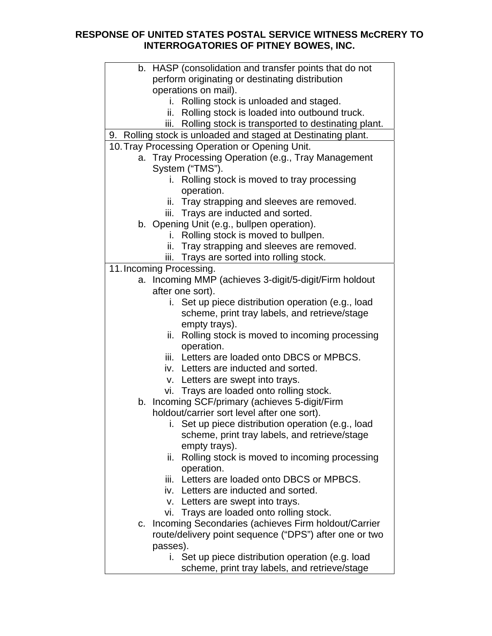|    | b. HASP (consolidation and transfer points that do not        |
|----|---------------------------------------------------------------|
|    | perform originating or destinating distribution               |
|    | operations on mail).                                          |
|    | Rolling stock is unloaded and staged.<br>i.                   |
|    | ii. Rolling stock is loaded into outbound truck.              |
|    | iii. Rolling stock is transported to destinating plant.       |
|    |                                                               |
|    | 9. Rolling stock is unloaded and staged at Destinating plant. |
|    | 10. Tray Processing Operation or Opening Unit.                |
|    | a. Tray Processing Operation (e.g., Tray Management           |
|    | System ("TMS").                                               |
|    | Rolling stock is moved to tray processing                     |
|    | operation.                                                    |
|    | ii. Tray strapping and sleeves are removed.                   |
|    | iii. Trays are inducted and sorted.                           |
|    | b. Opening Unit (e.g., bullpen operation).                    |
|    | Rolling stock is moved to bullpen.<br>i.                      |
|    | ii. Tray strapping and sleeves are removed.                   |
|    | iii. Trays are sorted into rolling stock.                     |
|    | 11. Incoming Processing.                                      |
|    | a. Incoming MMP (achieves 3-digit/5-digit/Firm holdout        |
|    | after one sort).                                              |
|    |                                                               |
|    | i. Set up piece distribution operation (e.g., load            |
|    | scheme, print tray labels, and retrieve/stage                 |
|    | empty trays).                                                 |
|    | Rolling stock is moved to incoming processing<br>ii.          |
|    | operation.                                                    |
|    | iii. Letters are loaded onto DBCS or MPBCS.                   |
|    | iv. Letters are inducted and sorted.                          |
|    | v. Letters are swept into trays.                              |
|    | vi. Trays are loaded onto rolling stock.                      |
|    | b. Incoming SCF/primary (achieves 5-digit/Firm                |
|    | holdout/carrier sort level after one sort).                   |
|    | i. Set up piece distribution operation (e.g., load            |
|    | scheme, print tray labels, and retrieve/stage                 |
|    | empty trays).                                                 |
|    |                                                               |
|    | Rolling stock is moved to incoming processing<br>ii.          |
|    | operation.                                                    |
|    | iii. Letters are loaded onto DBCS or MPBCS.                   |
|    | iv. Letters are inducted and sorted.                          |
|    | v. Letters are swept into trays.                              |
|    | vi. Trays are loaded onto rolling stock.                      |
| C. | Incoming Secondaries (achieves Firm holdout/Carrier           |
|    | route/delivery point sequence ("DPS") after one or two        |
|    | passes).                                                      |
|    | i. Set up piece distribution operation (e.g. load             |
|    | scheme, print tray labels, and retrieve/stage                 |
|    |                                                               |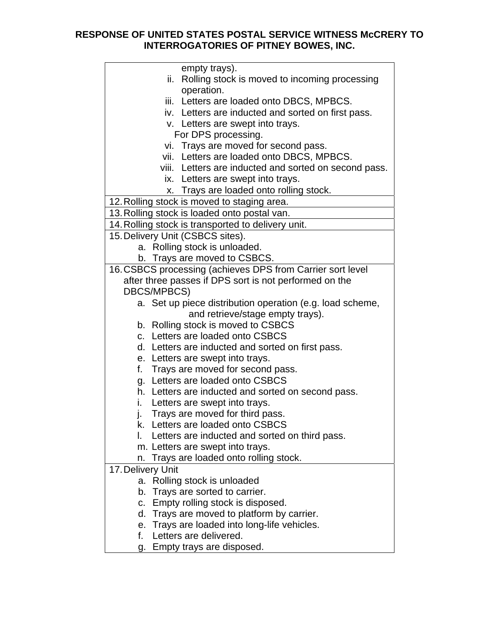| empty trays).                                              |
|------------------------------------------------------------|
| ii. Rolling stock is moved to incoming processing          |
| operation.<br>iii. Letters are loaded onto DBCS, MPBCS.    |
| iv. Letters are inducted and sorted on first pass.         |
| v. Letters are swept into trays.                           |
| For DPS processing.                                        |
| vi. Trays are moved for second pass.                       |
| vii. Letters are loaded onto DBCS, MPBCS.                  |
| viii. Letters are inducted and sorted on second pass.      |
| ix. Letters are swept into trays.                          |
| x. Trays are loaded onto rolling stock.                    |
| 12. Rolling stock is moved to staging area.                |
| 13. Rolling stock is loaded onto postal van.               |
| 14. Rolling stock is transported to delivery unit.         |
| 15. Delivery Unit (CSBCS sites).                           |
| a. Rolling stock is unloaded.                              |
| b. Trays are moved to CSBCS.                               |
| 16. CSBCS processing (achieves DPS from Carrier sort level |
| after three passes if DPS sort is not performed on the     |
| <b>DBCS/MPBCS)</b>                                         |
| a. Set up piece distribution operation (e.g. load scheme,  |
| and retrieve/stage empty trays).                           |
| b. Rolling stock is moved to CSBCS                         |
| c. Letters are loaded onto CSBCS                           |
| d. Letters are inducted and sorted on first pass.          |
| e. Letters are swept into trays.                           |
| Trays are moved for second pass.<br>f.                     |
| Letters are loaded onto CSBCS<br>g.                        |
| h. Letters are inducted and sorted on second pass.         |
| i.<br>Letters are swept into trays.                        |
| Trays are moved for third pass.                            |
| k. Letters are loaded onto CSBCS                           |
| Letters are inducted and sorted on third pass.<br>L.       |
| m. Letters are swept into trays.                           |
| Trays are loaded onto rolling stock.<br>n.                 |
| 17. Delivery Unit                                          |
| a. Rolling stock is unloaded                               |
| Trays are sorted to carrier.<br>b.                         |
| Empty rolling stock is disposed.<br>C.                     |
| d. Trays are moved to platform by carrier.                 |
| e. Trays are loaded into long-life vehicles.               |
| f.<br>Letters are delivered.                               |
| g. Empty trays are disposed.                               |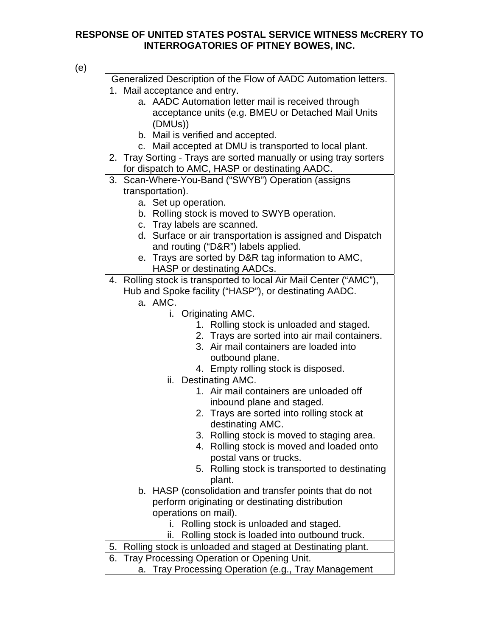| ×<br>I<br>w<br>۰. |  |
|-------------------|--|

| Generalized Description of the Flow of AADC Automation letters.   |                                                |
|-------------------------------------------------------------------|------------------------------------------------|
| 1. Mail acceptance and entry.                                     |                                                |
| a. AADC Automation letter mail is received through                |                                                |
| acceptance units (e.g. BMEU or Detached Mail Units                |                                                |
| (DMUs))                                                           |                                                |
| b. Mail is verified and accepted.                                 |                                                |
| Mail accepted at DMU is transported to local plant.<br>C.         |                                                |
| 2. Tray Sorting - Trays are sorted manually or using tray sorters |                                                |
| for dispatch to AMC, HASP or destinating AADC.                    |                                                |
| Scan-Where-You-Band ("SWYB") Operation (assigns<br>3.             |                                                |
| transportation).                                                  |                                                |
| a. Set up operation.                                              |                                                |
| b. Rolling stock is moved to SWYB operation.                      |                                                |
| c. Tray labels are scanned.                                       |                                                |
| d. Surface or air transportation is assigned and Dispatch         |                                                |
| and routing ("D&R") labels applied.                               |                                                |
| e. Trays are sorted by D&R tag information to AMC,                |                                                |
| HASP or destinating AADCs.                                        |                                                |
| 4. Rolling stock is transported to local Air Mail Center ("AMC"), |                                                |
| Hub and Spoke facility ("HASP"), or destinating AADC.             |                                                |
| a. AMC.                                                           |                                                |
| i. Originating AMC.<br>1. Rolling stock is unloaded and staged.   |                                                |
|                                                                   | 2. Trays are sorted into air mail containers.  |
| 3. Air mail containers are loaded into                            |                                                |
| outbound plane.                                                   |                                                |
| 4. Empty rolling stock is disposed.                               |                                                |
| ii. Destinating AMC.                                              |                                                |
| 1. Air mail containers are unloaded off                           |                                                |
| inbound plane and staged.                                         |                                                |
| 2. Trays are sorted into rolling stock at                         |                                                |
| destinating AMC.                                                  |                                                |
|                                                                   | 3. Rolling stock is moved to staging area.     |
| 4.                                                                | Rolling stock is moved and loaded onto         |
| postal vans or trucks.                                            |                                                |
|                                                                   | 5. Rolling stock is transported to destinating |
| plant.                                                            |                                                |
| b. HASP (consolidation and transfer points that do not            |                                                |
| perform originating or destinating distribution                   |                                                |
| operations on mail).                                              |                                                |
| i. Rolling stock is unloaded and staged.                          |                                                |
| Rolling stock is loaded into outbound truck.<br>ii.               |                                                |
| Rolling stock is unloaded and staged at Destinating plant.<br>5.  |                                                |
| Tray Processing Operation or Opening Unit.<br>6.                  |                                                |
| Tray Processing Operation (e.g., Tray Management<br>a.            |                                                |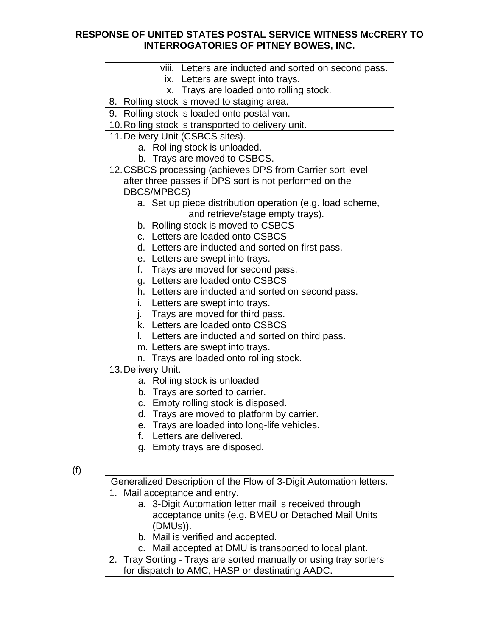| viii. Letters are inducted and sorted on second pass.      |
|------------------------------------------------------------|
| ix. Letters are swept into trays.                          |
| x. Trays are loaded onto rolling stock.                    |
| 8. Rolling stock is moved to staging area.                 |
| 9. Rolling stock is loaded onto postal van.                |
| 10. Rolling stock is transported to delivery unit.         |
| 11. Delivery Unit (CSBCS sites).                           |
| a. Rolling stock is unloaded.                              |
| b. Trays are moved to CSBCS.                               |
| 12. CSBCS processing (achieves DPS from Carrier sort level |
| after three passes if DPS sort is not performed on the     |
| <b>DBCS/MPBCS)</b>                                         |
| a. Set up piece distribution operation (e.g. load scheme,  |
| and retrieve/stage empty trays).                           |
| b. Rolling stock is moved to CSBCS                         |
| c. Letters are loaded onto CSBCS                           |
| Letters are inducted and sorted on first pass.<br>d.       |
| e. Letters are swept into trays.                           |
| f. Trays are moved for second pass.                        |
| g. Letters are loaded onto CSBCS                           |
| h. Letters are inducted and sorted on second pass.         |
| i. Letters are swept into trays.                           |
| j. Trays are moved for third pass.                         |
| k. Letters are loaded onto CSBCS                           |
| Letters are inducted and sorted on third pass.<br>I.       |
| m. Letters are swept into trays.                           |
| n. Trays are loaded onto rolling stock.                    |
| 13. Delivery Unit.                                         |
| a. Rolling stock is unloaded                               |
| b. Trays are sorted to carrier.                            |
| c. Empty rolling stock is disposed.                        |
| d. Trays are moved to platform by carrier.                 |
| e. Trays are loaded into long-life vehicles.               |
| Letters are delivered.<br>f.                               |

g. Empty trays are disposed.

Generalized Description of the Flow of 3-Digit Automation letters.

- 1. Mail acceptance and entry.
	- a. 3-Digit Automation letter mail is received through acceptance units (e.g. BMEU or Detached Mail Units (DMUs)).
		- b. Mail is verified and accepted.

c. Mail accepted at DMU is transported to local plant.

2. Tray Sorting - Trays are sorted manually or using tray sorters for dispatch to AMC, HASP or destinating AADC.

<sup>(</sup>f)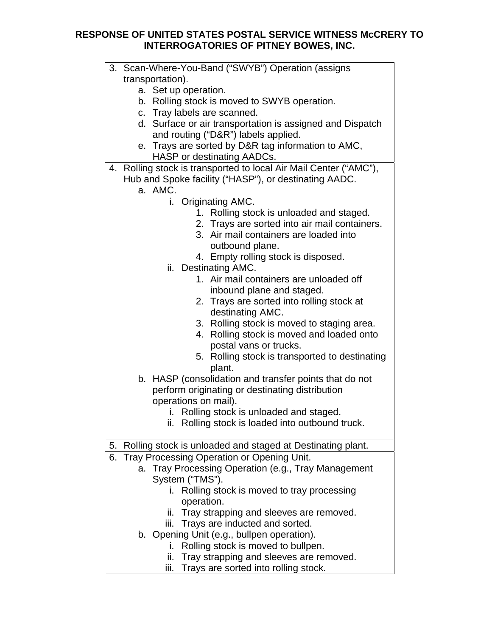| 3. Scan-Where-You-Band ("SWYB") Operation (assigns                |  |
|-------------------------------------------------------------------|--|
| transportation).                                                  |  |
| a. Set up operation.                                              |  |
| b. Rolling stock is moved to SWYB operation.                      |  |
| c. Tray labels are scanned.                                       |  |
| d. Surface or air transportation is assigned and Dispatch         |  |
| and routing ("D&R") labels applied.                               |  |
| e. Trays are sorted by D&R tag information to AMC,                |  |
| HASP or destinating AADCs.                                        |  |
| 4. Rolling stock is transported to local Air Mail Center ("AMC"), |  |
| Hub and Spoke facility ("HASP"), or destinating AADC.             |  |
| a. AMC.                                                           |  |
| i. Originating AMC.                                               |  |
| 1. Rolling stock is unloaded and staged.                          |  |
| 2. Trays are sorted into air mail containers.                     |  |
| 3. Air mail containers are loaded into                            |  |
| outbound plane.                                                   |  |
| 4. Empty rolling stock is disposed.                               |  |
| ii. Destinating AMC.                                              |  |
| 1. Air mail containers are unloaded off                           |  |
| inbound plane and staged.                                         |  |
| 2. Trays are sorted into rolling stock at                         |  |
| destinating AMC.                                                  |  |
| 3. Rolling stock is moved to staging area.                        |  |
| Rolling stock is moved and loaded onto<br>4.                      |  |
| postal vans or trucks.                                            |  |
| 5. Rolling stock is transported to destinating                    |  |
| plant.                                                            |  |
| b. HASP (consolidation and transfer points that do not            |  |
| perform originating or destinating distribution                   |  |
| operations on mail).                                              |  |
| i. Rolling stock is unloaded and staged.                          |  |
| ii. Rolling stock is loaded into outbound truck.                  |  |
|                                                                   |  |
| Rolling stock is unloaded and staged at Destinating plant.<br>5.  |  |
| 6. Tray Processing Operation or Opening Unit.                     |  |
| a. Tray Processing Operation (e.g., Tray Management               |  |
| System ("TMS").                                                   |  |
| i. Rolling stock is moved to tray processing                      |  |
| operation.                                                        |  |
| ii. Tray strapping and sleeves are removed.                       |  |
| Trays are inducted and sorted.<br>iii.                            |  |
| b. Opening Unit (e.g., bullpen operation).                        |  |
| i. Rolling stock is moved to bullpen.                             |  |
| Tray strapping and sleeves are removed.<br>ii.                    |  |
| Trays are sorted into rolling stock.<br>iii.                      |  |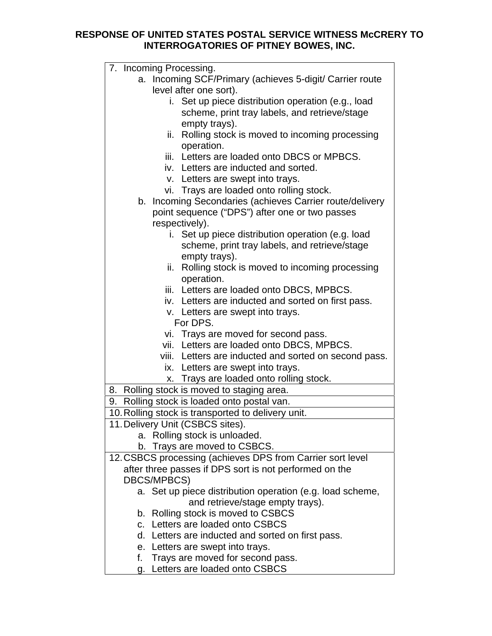| 7. Incoming Processing.                                    |
|------------------------------------------------------------|
| a. Incoming SCF/Primary (achieves 5-digit/ Carrier route   |
| level after one sort).                                     |
| i. Set up piece distribution operation (e.g., load         |
| scheme, print tray labels, and retrieve/stage              |
| empty trays).                                              |
| Rolling stock is moved to incoming processing<br>ii.       |
| operation.                                                 |
| iii. Letters are loaded onto DBCS or MPBCS.                |
| iv. Letters are inducted and sorted.                       |
| v. Letters are swept into trays.                           |
| vi. Trays are loaded onto rolling stock.                   |
| b. Incoming Secondaries (achieves Carrier route/delivery   |
| point sequence ("DPS") after one or two passes             |
| respectively).                                             |
| i. Set up piece distribution operation (e.g. load          |
| scheme, print tray labels, and retrieve/stage              |
| empty trays).                                              |
| Rolling stock is moved to incoming processing<br>ii.       |
| operation.                                                 |
| iii. Letters are loaded onto DBCS, MPBCS.                  |
| iv. Letters are inducted and sorted on first pass.         |
| v. Letters are swept into trays.                           |
| For DPS.                                                   |
| vi. Trays are moved for second pass.                       |
| vii. Letters are loaded onto DBCS, MPBCS.                  |
| viii. Letters are inducted and sorted on second pass.      |
| ix. Letters are swept into trays.                          |
| x. Trays are loaded onto rolling stock.                    |
| Rolling stock is moved to staging area.<br>8.              |
| Rolling stock is loaded onto postal van.<br>9.             |
| 10. Rolling stock is transported to delivery unit.         |
| 11. Delivery Unit (CSBCS sites).                           |
| a. Rolling stock is unloaded.                              |
| b. Trays are moved to CSBCS.                               |
| 12. CSBCS processing (achieves DPS from Carrier sort level |
| after three passes if DPS sort is not performed on the     |
| <b>DBCS/MPBCS)</b>                                         |
| a. Set up piece distribution operation (e.g. load scheme,  |
| and retrieve/stage empty trays).                           |
| b. Rolling stock is moved to CSBCS                         |
| c. Letters are loaded onto CSBCS                           |
| d. Letters are inducted and sorted on first pass.          |
| e. Letters are swept into trays.                           |
| Trays are moved for second pass.<br>f.                     |
|                                                            |

**g.** Letters are loaded onto CSBCS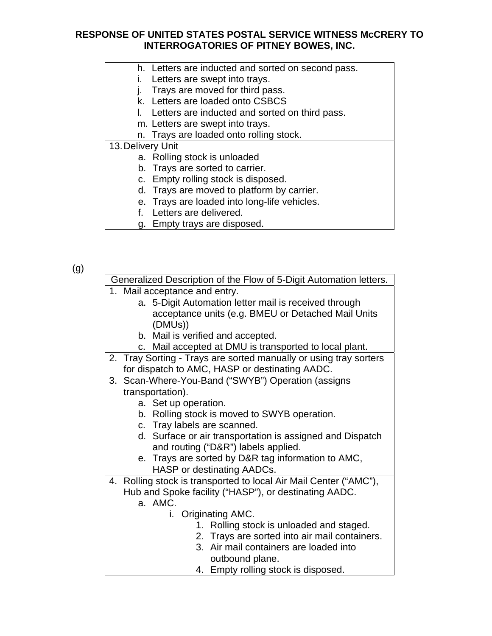- h. Letters are inducted and sorted on second pass.
- i. Letters are swept into trays.
- j. Trays are moved for third pass.
- k. Letters are loaded onto CSBCS
- l. Letters are inducted and sorted on third pass.
- m. Letters are swept into trays.
- n. Trays are loaded onto rolling stock.
- 13. Delivery Unit
	- a. Rolling stock is unloaded
	- b. Trays are sorted to carrier.
	- c. Empty rolling stock is disposed.
	- d. Trays are moved to platform by carrier.
	- e. Trays are loaded into long-life vehicles.
	- f. Letters are delivered.
	- g. Empty trays are disposed.

(g)

| Generalized Description of the Flow of 5-Digit Automation letters. |  |
|--------------------------------------------------------------------|--|
| 1. Mail acceptance and entry.                                      |  |
| a. 5-Digit Automation letter mail is received through              |  |
| acceptance units (e.g. BMEU or Detached Mail Units                 |  |
| (DMUs))                                                            |  |
| b. Mail is verified and accepted.                                  |  |
| c. Mail accepted at DMU is transported to local plant.             |  |
| 2. Tray Sorting - Trays are sorted manually or using tray sorters  |  |
| for dispatch to AMC, HASP or destinating AADC.                     |  |
| 3. Scan-Where-You-Band ("SWYB") Operation (assigns                 |  |
| transportation).                                                   |  |
| a. Set up operation.                                               |  |
| b. Rolling stock is moved to SWYB operation.                       |  |
| c. Tray labels are scanned.                                        |  |
| d. Surface or air transportation is assigned and Dispatch          |  |
| and routing ("D&R") labels applied.                                |  |
| e. Trays are sorted by D&R tag information to AMC,                 |  |
| HASP or destinating AADCs.                                         |  |
| 4. Rolling stock is transported to local Air Mail Center ("AMC"),  |  |
| Hub and Spoke facility ("HASP"), or destinating AADC.              |  |
| a. AMC.                                                            |  |
| i. Originating AMC.                                                |  |
| 1. Rolling stock is unloaded and staged.                           |  |
| 2. Trays are sorted into air mail containers.                      |  |
| 3. Air mail containers are loaded into                             |  |
| outbound plane.                                                    |  |
| 4. Empty rolling stock is disposed.                                |  |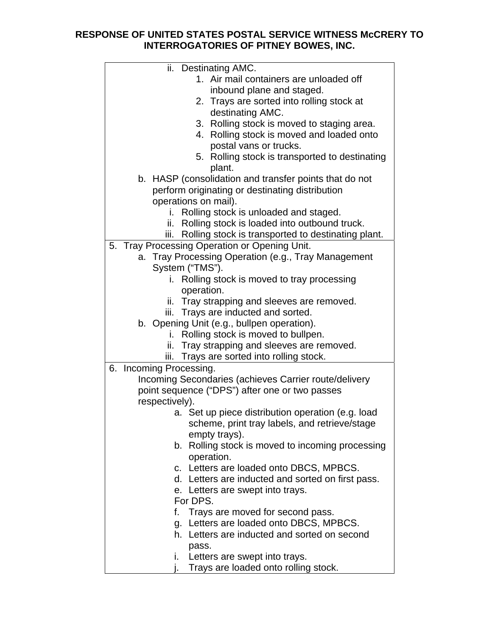| ii. Destinating AMC.                                       |
|------------------------------------------------------------|
| 1. Air mail containers are unloaded off                    |
| inbound plane and staged.                                  |
| 2. Trays are sorted into rolling stock at                  |
| destinating AMC.                                           |
| 3. Rolling stock is moved to staging area.                 |
| 4. Rolling stock is moved and loaded onto                  |
| postal vans or trucks.                                     |
| 5. Rolling stock is transported to destinating             |
| plant.                                                     |
| b. HASP (consolidation and transfer points that do not     |
| perform originating or destinating distribution            |
| operations on mail).                                       |
| i. Rolling stock is unloaded and staged.                   |
| ii. Rolling stock is loaded into outbound truck.           |
| Rolling stock is transported to destinating plant.<br>iii. |
| 5. Tray Processing Operation or Opening Unit.              |
| a. Tray Processing Operation (e.g., Tray Management        |
| System ("TMS").                                            |
|                                                            |
| i. Rolling stock is moved to tray processing               |
| operation.                                                 |
| ii. Tray strapping and sleeves are removed.                |
| iii. Trays are inducted and sorted.                        |
| b. Opening Unit (e.g., bullpen operation).                 |
| i. Rolling stock is moved to bullpen.                      |
| ii. Tray strapping and sleeves are removed.                |
| iii. Trays are sorted into rolling stock.                  |
| 6. Incoming Processing.                                    |
| Incoming Secondaries (achieves Carrier route/delivery      |
| point sequence ("DPS") after one or two passes             |
| respectively).                                             |
| a. Set up piece distribution operation (e.g. load          |
| scheme, print tray labels, and retrieve/stage              |
| empty trays).                                              |
| b. Rolling stock is moved to incoming processing           |
| operation.                                                 |
| c. Letters are loaded onto DBCS, MPBCS.                    |
| d. Letters are inducted and sorted on first pass.          |
| e. Letters are swept into trays.                           |
| For DPS.                                                   |
| Trays are moved for second pass.<br>f.                     |
| g. Letters are loaded onto DBCS, MPBCS.                    |
| h. Letters are inducted and sorted on second               |
| pass.                                                      |
| i. Letters are swept into trays.                           |
| Trays are loaded onto rolling stock.                       |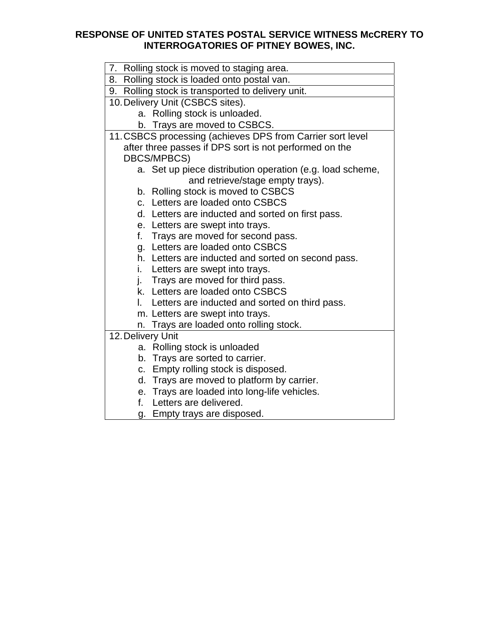| 7. Rolling stock is moved to staging area.                 |
|------------------------------------------------------------|
| 8. Rolling stock is loaded onto postal van.                |
| 9. Rolling stock is transported to delivery unit.          |
| 10. Delivery Unit (CSBCS sites).                           |
| a. Rolling stock is unloaded.                              |
| b. Trays are moved to CSBCS.                               |
| 11. CSBCS processing (achieves DPS from Carrier sort level |
| after three passes if DPS sort is not performed on the     |
| DBCS/MPBCS)                                                |
| a. Set up piece distribution operation (e.g. load scheme,  |
| and retrieve/stage empty trays).                           |
| b. Rolling stock is moved to CSBCS                         |
| c. Letters are loaded onto CSBCS                           |
| d. Letters are inducted and sorted on first pass.          |
| e. Letters are swept into trays.                           |
| Trays are moved for second pass.<br>f.                     |
| g. Letters are loaded onto CSBCS                           |
| h. Letters are inducted and sorted on second pass.         |
| i.<br>Letters are swept into trays.                        |
| Trays are moved for third pass.<br>j.                      |
| k. Letters are loaded onto CSBCS                           |
| Letters are inducted and sorted on third pass.<br>L.       |
| m. Letters are swept into trays.                           |
| n. Trays are loaded onto rolling stock.                    |
| 12. Delivery Unit                                          |
| a. Rolling stock is unloaded                               |
| b. Trays are sorted to carrier.                            |
| Empty rolling stock is disposed.<br>C.                     |
| d. Trays are moved to platform by carrier.                 |
| e. Trays are loaded into long-life vehicles.               |
| Letters are delivered.<br>f.                               |
| g. Empty trays are disposed.                               |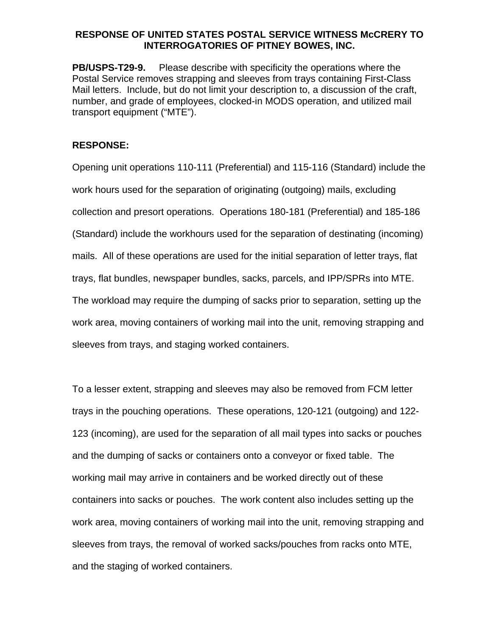**PB/USPS-T29-9.** Please describe with specificity the operations where the Postal Service removes strapping and sleeves from trays containing First-Class Mail letters. Include, but do not limit your description to, a discussion of the craft, number, and grade of employees, clocked-in MODS operation, and utilized mail transport equipment ("MTE").

### **RESPONSE:**

Opening unit operations 110-111 (Preferential) and 115-116 (Standard) include the work hours used for the separation of originating (outgoing) mails, excluding collection and presort operations. Operations 180-181 (Preferential) and 185-186 (Standard) include the workhours used for the separation of destinating (incoming) mails. All of these operations are used for the initial separation of letter trays, flat trays, flat bundles, newspaper bundles, sacks, parcels, and IPP/SPRs into MTE. The workload may require the dumping of sacks prior to separation, setting up the work area, moving containers of working mail into the unit, removing strapping and sleeves from trays, and staging worked containers.

To a lesser extent, strapping and sleeves may also be removed from FCM letter trays in the pouching operations. These operations, 120-121 (outgoing) and 122- 123 (incoming), are used for the separation of all mail types into sacks or pouches and the dumping of sacks or containers onto a conveyor or fixed table. The working mail may arrive in containers and be worked directly out of these containers into sacks or pouches. The work content also includes setting up the work area, moving containers of working mail into the unit, removing strapping and sleeves from trays, the removal of worked sacks/pouches from racks onto MTE, and the staging of worked containers.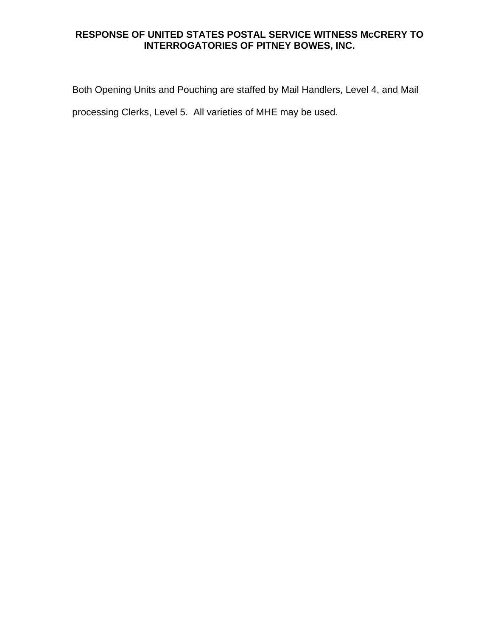Both Opening Units and Pouching are staffed by Mail Handlers, Level 4, and Mail processing Clerks, Level 5. All varieties of MHE may be used.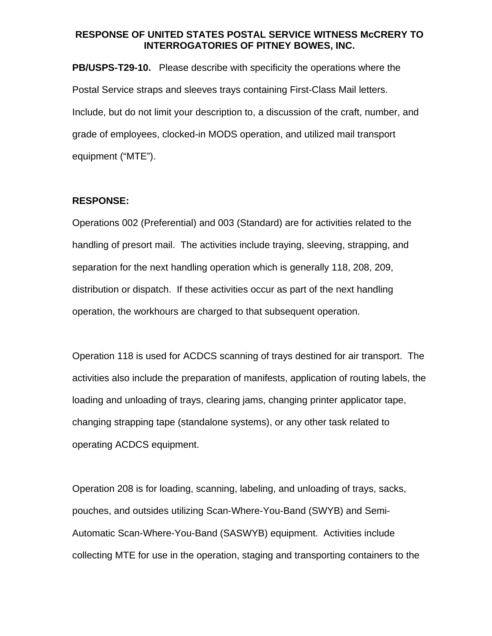**PB/USPS-T29-10.** Please describe with specificity the operations where the Postal Service straps and sleeves trays containing First-Class Mail letters. Include, but do not limit your description to, a discussion of the craft, number, and grade of employees, clocked-in MODS operation, and utilized mail transport equipment ("MTE").

#### **RESPONSE:**

Operations 002 (Preferential) and 003 (Standard) are for activities related to the handling of presort mail. The activities include traying, sleeving, strapping, and separation for the next handling operation which is generally 118, 208, 209, distribution or dispatch. If these activities occur as part of the next handling operation, the workhours are charged to that subsequent operation.

Operation 118 is used for ACDCS scanning of trays destined for air transport. The activities also include the preparation of manifests, application of routing labels, the loading and unloading of trays, clearing jams, changing printer applicator tape, changing strapping tape (standalone systems), or any other task related to operating ACDCS equipment.

Operation 208 is for loading, scanning, labeling, and unloading of trays, sacks, pouches, and outsides utilizing Scan-Where-You-Band (SWYB) and Semi-Automatic Scan-Where-You-Band (SASWYB) equipment. Activities include collecting MTE for use in the operation, staging and transporting containers to the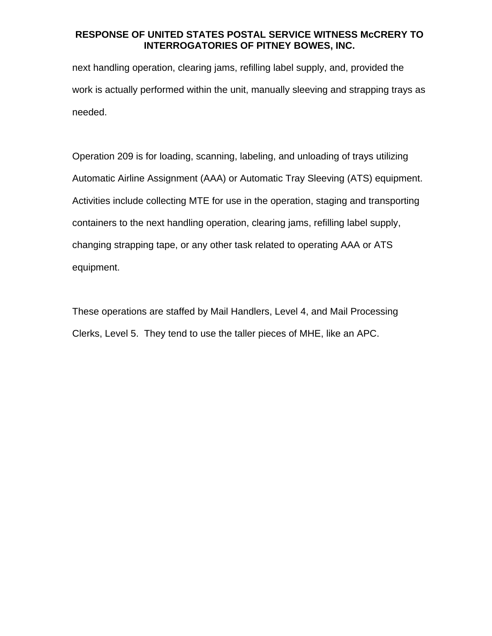next handling operation, clearing jams, refilling label supply, and, provided the work is actually performed within the unit, manually sleeving and strapping trays as needed.

Operation 209 is for loading, scanning, labeling, and unloading of trays utilizing Automatic Airline Assignment (AAA) or Automatic Tray Sleeving (ATS) equipment. Activities include collecting MTE for use in the operation, staging and transporting containers to the next handling operation, clearing jams, refilling label supply, changing strapping tape, or any other task related to operating AAA or ATS equipment.

These operations are staffed by Mail Handlers, Level 4, and Mail Processing Clerks, Level 5. They tend to use the taller pieces of MHE, like an APC.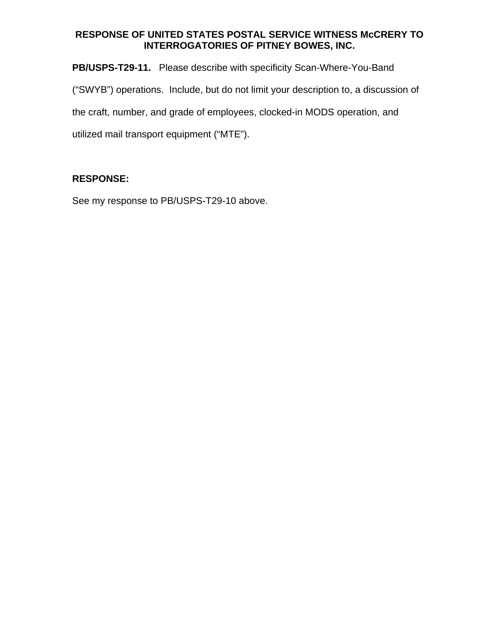**PB/USPS-T29-11.** Please describe with specificity Scan-Where-You-Band ("SWYB") operations. Include, but do not limit your description to, a discussion of the craft, number, and grade of employees, clocked-in MODS operation, and utilized mail transport equipment ("MTE").

# **RESPONSE:**

See my response to PB/USPS-T29-10 above.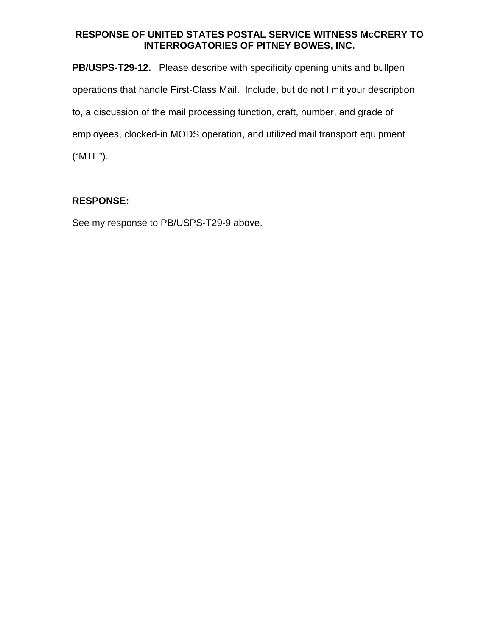**PB/USPS-T29-12.** Please describe with specificity opening units and bullpen operations that handle First-Class Mail. Include, but do not limit your description to, a discussion of the mail processing function, craft, number, and grade of employees, clocked-in MODS operation, and utilized mail transport equipment ("MTE").

# **RESPONSE:**

See my response to PB/USPS-T29-9 above.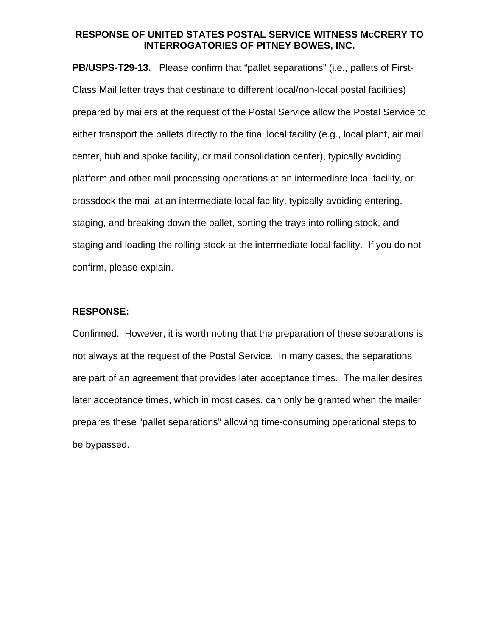**PB/USPS-T29-13.** Please confirm that "pallet separations" (i.e., pallets of First-Class Mail letter trays that destinate to different local/non-local postal facilities) prepared by mailers at the request of the Postal Service allow the Postal Service to either transport the pallets directly to the final local facility (e.g., local plant, air mail center, hub and spoke facility, or mail consolidation center), typically avoiding platform and other mail processing operations at an intermediate local facility, or crossdock the mail at an intermediate local facility, typically avoiding entering, staging, and breaking down the pallet, sorting the trays into rolling stock, and staging and loading the rolling stock at the intermediate local facility. If you do not confirm, please explain.

#### **RESPONSE:**

Confirmed. However, it is worth noting that the preparation of these separations is not always at the request of the Postal Service. In many cases, the separations are part of an agreement that provides later acceptance times. The mailer desires later acceptance times, which in most cases, can only be granted when the mailer prepares these "pallet separations" allowing time-consuming operational steps to be bypassed.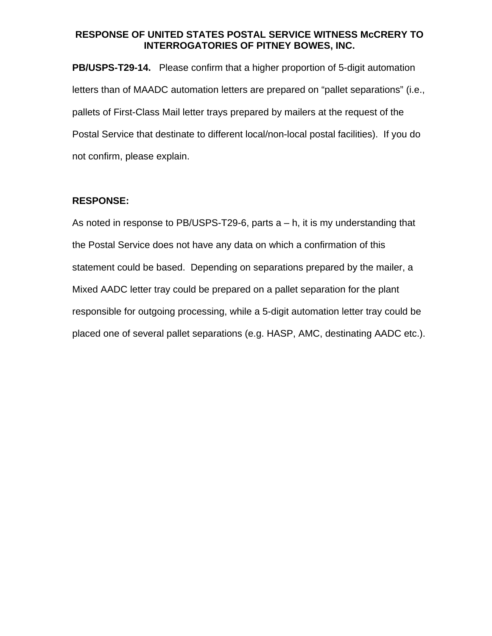**PB/USPS-T29-14.** Please confirm that a higher proportion of 5-digit automation letters than of MAADC automation letters are prepared on "pallet separations" (i.e., pallets of First-Class Mail letter trays prepared by mailers at the request of the Postal Service that destinate to different local/non-local postal facilities). If you do not confirm, please explain.

### **RESPONSE:**

As noted in response to PB/USPS-T29-6, parts  $a - h$ , it is my understanding that the Postal Service does not have any data on which a confirmation of this statement could be based. Depending on separations prepared by the mailer, a Mixed AADC letter tray could be prepared on a pallet separation for the plant responsible for outgoing processing, while a 5-digit automation letter tray could be placed one of several pallet separations (e.g. HASP, AMC, destinating AADC etc.).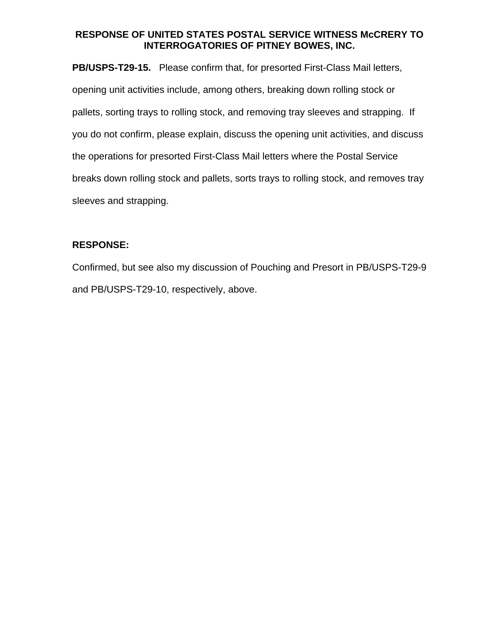**PB/USPS-T29-15.** Please confirm that, for presorted First-Class Mail letters, opening unit activities include, among others, breaking down rolling stock or pallets, sorting trays to rolling stock, and removing tray sleeves and strapping. If you do not confirm, please explain, discuss the opening unit activities, and discuss the operations for presorted First-Class Mail letters where the Postal Service breaks down rolling stock and pallets, sorts trays to rolling stock, and removes tray sleeves and strapping.

### **RESPONSE:**

Confirmed, but see also my discussion of Pouching and Presort in PB/USPS-T29-9 and PB/USPS-T29-10, respectively, above.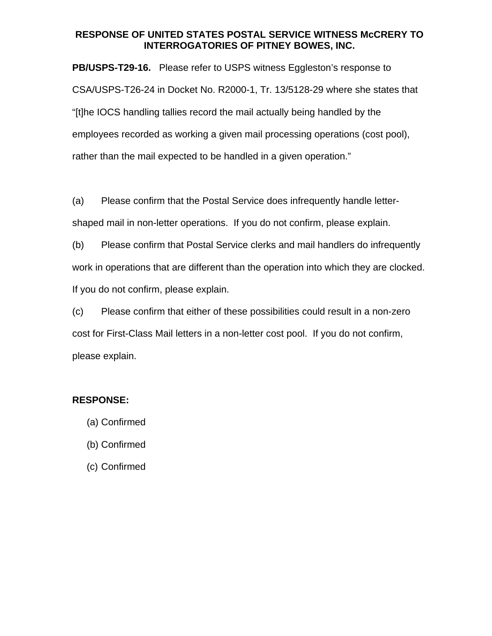**PB/USPS-T29-16.** Please refer to USPS witness Eggleston's response to CSA/USPS-T26-24 in Docket No. R2000-1, Tr. 13/5128-29 where she states that "[t]he IOCS handling tallies record the mail actually being handled by the employees recorded as working a given mail processing operations (cost pool), rather than the mail expected to be handled in a given operation."

(a) Please confirm that the Postal Service does infrequently handle lettershaped mail in non-letter operations. If you do not confirm, please explain.

(b) Please confirm that Postal Service clerks and mail handlers do infrequently work in operations that are different than the operation into which they are clocked. If you do not confirm, please explain.

(c) Please confirm that either of these possibilities could result in a non-zero cost for First-Class Mail letters in a non-letter cost pool. If you do not confirm, please explain.

### **RESPONSE:**

- (a) Confirmed
- (b) Confirmed
- (c) Confirmed